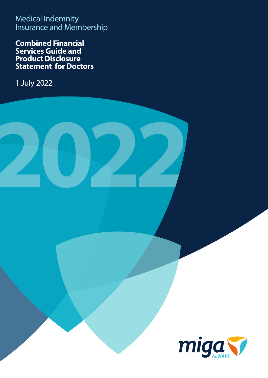Medical Indemnity Insurance and Membership

**2022**

**Combined Financial Services Guide and Product Disclosure Statement for Doctors** 

1 July 2022

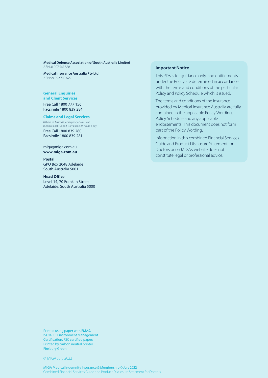**Medical Defence Association of South Australia Limited**  ABN 41 007 547 588

**Medical Insurance Australia Pty Ltd**  ABN 99 092 709 629

# **General Enquiries**

**and Client Services** Free Call 1800 777 156 Facsimile 1800 839 284

### **Claims and Legal Services**

(Where in Australia, emergency claims and medico-legal support is available 24 hours a day) Free Call 1800 839 280

Facsimile 1800 839 281

### miga@miga.com.au **www.miga.com.au**

### **Postal**

GPO Box 2048 Adelaide South Australia 5001

### **Head Office**

Level 14, 70 Franklin Street Adelaide, South Australia 5000

## **Important Notice**

This PDS is for guidance only, and entitlements under the Policy are determined in accordance with the terms and conditions of the particular Policy and Policy Schedule which is issued.

The terms and conditions of the insurance provided by Medical Insurance Australia are fully contained in the applicable Policy Wording, Policy Schedule and any applicable endorsements. This document does not form part of the Policy Wording.

Information in this combined Financial Services Guide and Product Disclosure Statement for Doctors or on MIGA's website does not constitute legal or professional advice.

Printed using paper with EMAS, ISO14001 Environment Management Certification, FSC certified paper; Printed by carbon neutral printer Finsbury Green

© MIGA July 2022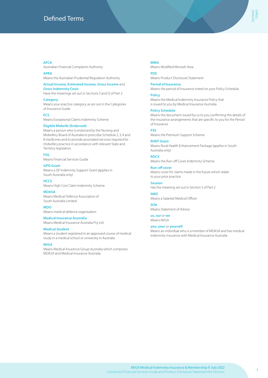

### **AFCA**

Australian Financial Complaints Authority

# **APRA**

Means the Australian Prudential Regulation Authority

**Actual Income, Estimated Income, Gross Income** and **Gross Indemnity Costs**

Have the meanings set out in Sections 5 and 12 of Part 2 **Category**

Means your practice category, as set out in the Categories of Insurance Guide

**ECS** Means Exceptional Claims Indemnity Scheme

### **Eligible Midwife (Endorsed)**

Means a person who is endorsed by the Nursing and Midwifery Board of Australia to prescribe Schedule 2, 3, 4 and 8 medicines and to provide associated services required for midwifery practice in accordance with relevant State and Territory legislation.

### **FSG**

Means Financial Services Guide

### **GPIS Grant**

Means a GP Indemnity Support Grant (applies in South Australia only)

**HCCS**

Means High Cost Claim Indemnity Scheme

**MDASA** Means Medical Defence Association of South Australia Limited

**MDO** Means medical defence organisation

**Medical Insurance Australia** Means Medical Insurance Australia Pty Ltd

#### **Medical Student**

Means a student registered in an approved course of medical study in a medical school or university in Australia

### **MIGA**

Means Medical Insurance Group Australia which comprises MDASA and Medical Insurance Australia

### **MMA**

Means Modified Monash Area

# **PDS**

Means Product Disclosure Statement

### **Period of Insurance**

Means the period of insurance noted on your Policy Schedule

### **Policy**

Means the Medical Indemnity Insurance Policy that is issued to you by Medical Insurance Australia

### **Policy Schedule**

Means the document issued by us to you confirming the details of the insurance arrangements that are specific to you for the Period of Insurance

# **PSS**

Means the Premium Support Scheme

### **RHEP Grant**

Means Rural Health Enhancement Package (applies in South Australia only)

# **ROCS**

Means the Run-off Cover Indemnity Scheme

## **Run-off cover**

Means cover for claims made in the future which relate to your prior practice

**Session** Has the meaning set out in Section 5 of Part 2

#### **SMO** Means a Salaried Medical Officer

**SOA** Means Statement of Advice

### **us, our** or **we**  Means MIGA

# **you, your** or **yourself**

Means an individual who is a member of MDASA and has medical indemnity insurance with Medical Insurance Australia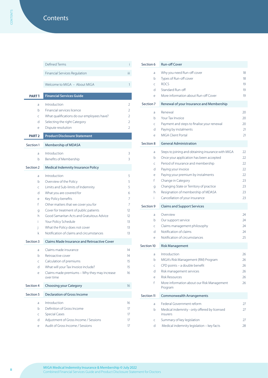CONTENTS

**CONTENTS** 

|                   | Defined Terms                                                                       | Î.                      |
|-------------------|-------------------------------------------------------------------------------------|-------------------------|
|                   | <b>Financial Services Regulation</b>                                                | iіі                     |
|                   | Welcome to MIGA - About MIGA                                                        | 1                       |
| PART <sub>1</sub> | <b>Financial Services Guide</b>                                                     |                         |
| a                 | Introduction                                                                        | 2                       |
| b                 | Financial services licence                                                          | 2                       |
| Ċ                 | What qualifications do our employees have?                                          | 2                       |
| d                 | Selecting the right Category                                                        | 2                       |
| e                 | Dispute resolution                                                                  | 2                       |
| PART <sub>2</sub> | <b>Product Disclosure Statement</b>                                                 |                         |
| Section 1         | Membership of MDASA                                                                 |                         |
| a                 | Introduction                                                                        | 3                       |
| b                 | Benefits of Membership                                                              | 3                       |
| Section 2         | Medical Indemnity Insurance Policy                                                  |                         |
| a                 | Introduction                                                                        | 5                       |
| b                 | Overview of the Policy                                                              | 5                       |
| C                 | Limits and Sub-limits of Indemnity                                                  | 5                       |
| d                 | What you are covered for                                                            | 6                       |
| e                 | Key Policy benefits                                                                 | 7                       |
| f                 | Other matters that we cover you for                                                 | 7                       |
| g<br>h            | Cover for treatment of public patients<br>Good Samaritan Acts and Gratuitous Advice | 12                      |
| i.                | Your Policy Schedule                                                                | $12 \overline{ }$<br>13 |
| j                 | What the Policy does not cover                                                      | 13                      |
| k                 | Notification of claims and circumstances                                            | 13                      |
| Section 3         | <b>Claims Made Insurance and Retroactive Cover</b>                                  |                         |
| a                 | Claims made insurance                                                               | 14                      |
| b                 | Retroactive cover                                                                   | 14                      |
| C                 | Calculation of premiums                                                             | 15                      |
| d                 | What will your Tax Invoice include?                                                 | 15                      |
| e                 | Claims made premiums - Why they may increase<br>over time                           | 16                      |
| Section 4         | <b>Choosing your Category</b>                                                       | 16                      |
| Section 5         | <b>Declaration of Gross Income</b>                                                  |                         |
| a                 | Introduction                                                                        | 16                      |
| b                 | Definition of Gross Income                                                          | 17                      |
| Ċ                 | <b>Special Cases</b>                                                                | 17                      |
| d                 | Adjustment of Gross Income / Sessions                                               | 17                      |
| e                 | Audit of Gross Income / Sessions                                                    | 17                      |

| Section 6                                  | <b>Run-off Cover</b>                                                                                                                                                                                                                                                                                                                      |                                                    |
|--------------------------------------------|-------------------------------------------------------------------------------------------------------------------------------------------------------------------------------------------------------------------------------------------------------------------------------------------------------------------------------------------|----------------------------------------------------|
| a<br>b<br>Ċ<br>d<br>e                      | Why you need Run-off cover<br>Types of Run-off cover<br><b>ROCS</b><br>Standard Run-off<br>More information about Run-off Cover                                                                                                                                                                                                           | 18<br>18<br>19<br>19<br>19                         |
| Section <sub>7</sub>                       | Renewal of your Insurance and Membership                                                                                                                                                                                                                                                                                                  |                                                    |
| a<br>b<br>Ċ<br>d<br>e                      | Renewal<br>Your Tax Invoice<br>Payment and steps to finalise your renewal<br>Paying by instalments<br>MIGA Client Portal                                                                                                                                                                                                                  | 20<br>20<br>20<br>21<br>21                         |
| Section 8                                  | <b>General Administration</b>                                                                                                                                                                                                                                                                                                             |                                                    |
| a<br>b<br>Ċ<br>d<br>е<br>f<br>g<br>h<br>i. | Steps to joining and obtaining insurance with MIGA<br>Once your application has been accepted<br>Period of insurance and membership<br>Paying your invoice<br>Paying your premium by instalments<br>Change in Category<br>Changing State or Territory of practice<br>Resignation of membership of MDASA<br>Cancellation of your insurance | 22<br>22<br>22<br>22<br>22<br>23<br>23<br>23<br>23 |
| Section 9                                  | <b>Claims and Support Services</b>                                                                                                                                                                                                                                                                                                        |                                                    |
| a<br>b<br>C<br>d<br>e                      | Overview<br>Our support service<br>Claims management philosophy<br>Notification of claims<br>Notification of circumstances                                                                                                                                                                                                                | 24<br>24<br>24<br>24<br>25                         |
| Section 10                                 | <b>Risk Management</b>                                                                                                                                                                                                                                                                                                                    |                                                    |
| a<br>b<br>C<br>d<br>e<br>f                 | Introduction<br>MIGA's Risk Management (RM) Program<br>CPD points - a double benefit<br>Risk management services<br><b>Risk Resources</b><br>More information about our Risk Management<br>Program                                                                                                                                        | 26<br>26<br>26<br>26<br>26<br>26                   |
| <b>Section 11</b>                          | <b>Commonwealth Arrangements</b>                                                                                                                                                                                                                                                                                                          |                                                    |
| a<br>b<br>C<br>d                           | Federal Government reform<br>Medical indemnity - only offered by licensed<br>insurers<br>Summary of key legislation<br>Medical indemnity legislation - key facts                                                                                                                                                                          | 27<br>27<br>27<br>28                               |
|                                            |                                                                                                                                                                                                                                                                                                                                           |                                                    |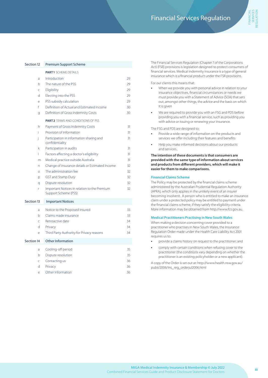# Section 12 Premium Support Scheme

|            |            | <b>PART1 SCHEME DETAILS</b>                                          |    |
|------------|------------|----------------------------------------------------------------------|----|
|            | a          | Introduction                                                         | 29 |
|            | b          | The nature of the PSS                                                | 29 |
|            | Ċ          | Eligibility                                                          | 29 |
|            | d          | Electing into the PSS                                                | 29 |
|            | e          | PSS subsidy calculation                                              | 29 |
|            | f          | Definition of Actual and Estimated Income                            | 30 |
|            | g          | Definition of Gross Indemnity Costs                                  | 30 |
|            |            | <b>PART 2 TERMS AND CONDITIONS OF PSS</b>                            |    |
|            | h          | Payment of Gross Indemnity Costs                                     | 31 |
|            | î.         | Provision of information                                             | 31 |
|            | j          | Participation in information sharing and<br>confidentiality          | 31 |
|            | k          | Participation in audits                                              | 31 |
|            | I          | Factors affecting a doctor's eligibility                             | 31 |
|            | m          | Medical practice outside Australia                                   | 31 |
|            | n          | Change of insurance details or Estimated Income                      | 32 |
|            | $\Omega$   | The administration fee                                               | 32 |
|            | p          | <b>GST and Stamp Duty</b>                                            | 32 |
|            | q          | Dispute resolution                                                   | 32 |
|            | r          | Important Notices in relation to the Premium<br>Support Scheme (PSS) | 32 |
| Section 13 |            | <b>Important Notices</b>                                             |    |
|            | a          | Notice to the Proposed Insured                                       | 33 |
|            | b          | Claims made insurance                                                | 33 |
|            | Ċ          | Retroactive date                                                     | 34 |
|            | d          | Privacy                                                              | 34 |
|            | e          | Third Party Authority for Privacy reasons                            | 34 |
| Section 14 |            | Other Information                                                    |    |
|            | a          | Cooling-off period                                                   | 35 |
|            | b          | Dispute resolution                                                   | 35 |
|            | $\epsilon$ | Contacting us                                                        | 36 |
|            |            |                                                                      |    |

d Privacy 36 e Other Information 36 The Financial Services Regulation (Chapter 7 of the Corporations Act) (FSR) provisions is legislation designed to protect consumers of financial services. Medical indemnity insurance is a type of general insurance which is a financial product under the FSR provisions.

For our clients this means that:

- **•** When we provide you with personal advice in relation to your insurance objectives, financial circumstances or needs we must provide you with a Statement of Advice (SOA) that sets out, amongst other things, the advice and the basis on which it is given
- **•** We are required to provide you with an FSG and PDS before providing you with a financial service, such as providing you with advice or issuing or renewing your insurance.

The FSG and PDS are designed to:

- **•** Provide a wide range of information on the products and services we offer including their features and benefits
- **•** Help you make informed decisions about our products and services.

**The intention of these documents is that consumers are provided with the same type of information about services and products from different providers, which will make it easier for them to make comparisons.**

### **Financial Claims Scheme**

The Policy may be protected by the financial claims scheme administered by the Australian Prudential Regulation Authority (APRA), which only applies in the unlikely event of an insurer becoming insolvent. A person who is entitled to make an insurance claim under a protected policy may be entitled to payment under the financial claims scheme, if they satisfy the eligibility criteria. More information may be obtained from http://www.fcs.gov.au.

### **Medical Practitioners Practising in New South Wales**

When making a decision concerning cover provided to a practitioner who practises in New South Wales, the Insurance Regulation Order made under the Health Care Liability Act 2001 requires us to:

- **•** provide a claims history on request to the practitioner; and
- **•** comply with certain conditions when refusing cover to the practitioner (the conditions vary depending on whether the practitioner is an existing policyholder or a new applicant).

A copy of the Order is set out at: http://www.health.nsw.gov.au/ pubs/2006/ins\_reg\_orderjul2006.html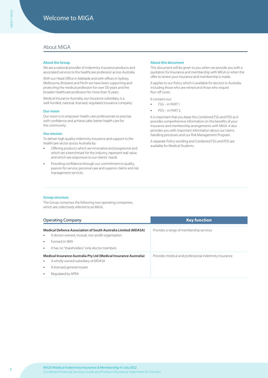# About MIGA

### **About the Group**

We are a national provider of indemnity insurance products and associated services to the healthcare profession across Australia.

With our Head Office in Adelaide and with offices in Sydney, Melbourne, Brisbane and Perth we have been supporting and protecting the medical profession for over 120 years and the broader healthcare profession for more than 15 years.

Medical Insurance Australia, our insurance subsidiary, is a well-funded, national, licensed, regulated insurance company.

#### **Our vision**

Our vision is to empower health care professionals to practise with confidence and achieve safer, better health care for the community.

### **Our mission**

To deliver high quality indemnity insurance and support to the healthcare sector across Australia by:

- **•** Offering products which are innovative and progressive and which set a benchmark for the industry, represent real value and which are responsive to our clients' needs
- **•** Providing confidence through our commitment to quality, passion for service, personal care and superior claims and risk management services.

#### **About this document**

This document will be given to you when we provide you with a quotation for insurance and membership with MIGA or when the offer to renew your insurance and membership is made.

It applies to our Policy which is available for doctors in Australia, including those who are retired and those who require Run-off cover.

It contains our:

- **•** FSG in PART 1
- **•** PDS in PART 2.

It is important that you keep this Combined FSG and PDS as it provides comprehensive information on the benefits of your insurance and membership arrangements with MIGA. It also provides you with important information about our claims handling processes and our Risk Management Program.

A separate Policy wording and Combined FSG and PDS are available for Medical Students.

### **Group structure**

The Group comprises the following two operating companies, which are collectively referred to as MIGA.

| <b>Operating Company</b>                                                                                                                                                                                                   | <b>Key function</b>                                   |
|----------------------------------------------------------------------------------------------------------------------------------------------------------------------------------------------------------------------------|-------------------------------------------------------|
| Medical Defence Association of South Australia Limited (MDASA)<br>A doctor-owned, mutual, non-profit organisation<br>$\bullet$<br>Formed in 1899<br>$\bullet$<br>It has no "shareholders" only doctor members<br>$\bullet$ | Provides a range of membership services               |
| Medical Insurance Australia Pty Ltd (Medical Insurance Australia)<br>A wholly owned subsidiary of MDASA<br>A licensed general insurer<br>$\bullet$<br>Regulated by APRA<br>$\bullet$                                       | Provides medical and professional indemnity insurance |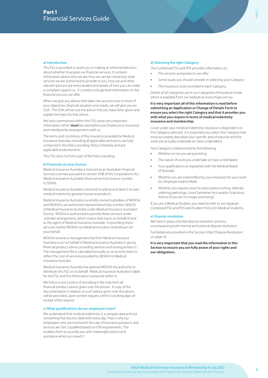### **a) Introduction**

This FSG is provided to assist you in making an informed decision about whether to acquire our financial services. It contains information about who we are, how we can be contacted, what services we are authorised to provide to you, how we and other relevant persons are remunerated and details of how you can make a complaint against us. It contains only general information on the financial services we offer.

When we give you advice that takes into account one or more of your objectives, financial situation and needs, we will give you an SOA. The SOA will set out the advice that you have been given and explain the basis for that advice.

We have summarised within this FSG some very important information which **must** be read before you finalise your insurance and membership arrangements with us.

The terms and conditions of the insurance provided by Medical Insurance Australia, including all applicable exclusions, are fully contained in the Policy wording, Policy Schedule and any applicable endorsements.

This FSG does not form part of the Policy wording.

### **b) Financial services licence**

Medical Insurance Australia is licensed as an Australian Financial Services Licensee pursuant to section 913B of the Corporations Act. Medical Insurance Australia's financial services licence number is 255906.

Medical Insurance Australia is licensed to advise and deal in its own medical indemnity general insurance products.

Medical Insurance Australia is a wholly-owned subsidiary of MDASA and MDASA is an authorised representative (rep number 269222) of Medical Insurance Australia under Medical Insurance Australia's licence. MDASA is authorised to provide these services under a binder arrangement, which means that it acts on behalf of and as the agent of Medical Insurance Australia. In providing these services neither MDASA nor Medical Insurance Australia act on your behalf.

MDASA receives a management fee from Medical Insurance Australia to act on behalf of Medical Insurance Australia in giving financial product advice, providing services and issuing products. The management fee is calculated annually on an activity basis to reflect the cost of services provided by MDASA to Medical Insurance Australia.

Medical Insurance Australia has granted MDASA the authority to distribute this FSG on its behalf. Medical Insurance Australia is liable for the FSG and the information contained within it.

We follow a strict policy of recording in file note form all financial product advice given over the phone. A copy of the documentation in relation to such advice given over the phone will be provided, upon written request, within 5 working days of receipt of the request.

### **c) What qualifications do our employees have?**

We understand that medical indemnity is a complex area and not something that doctors deal with every day. That is why our employees who are involved in the sale of insurance products and services are Tier 2 qualified based on FSR requirements. This enables them to provide you with meaningful advice and assistance when you need it.

### **d) Selecting the right Category**

This Combined FSG and PDS provides information on:

- **•** The services and products we offer
- **•** Some issues you should consider in selecting your Category
- **•** The insurance cover provided in each Category.

Details of all Categories are in our Categories of Insurance Guide which is available from our website at www.miga.com.au.

### **It is very important all of this information is read before submitting an Application or Change of Details Form to ensure you select the right Category and that it provides you with what you require in terms of medical indemnity insurance and membership.**

Cover under your medical indemnity insurance is dependent on the Category selected. It is important you select the Category that most accurately describes your specific area of practice and the work you actually undertake (or have undertaken).

Your Category is determined by the following:

- **•** Whether or not you are practising
- **•** The nature of work you undertake (or have undertaken)
- **•** Your qualifications as registered with the Medical Board of Australia
- **•** Whether you are indemnified by your employer for your work (i.e. Employer Indemnified)
- **•** Whether you require cover for prescription writing, referrals, ordering pathology, Good Samaritan Acts and/or Gratuitous Advice (if you are no longer practising).

If you are a Medical Student, you need to refer to our separate Combined FSG and PDS and Student Policy for Medical Students.

### **e) Dispute resolution**

We have in place a formal dispute resolution process, encompassing both internal and external dispute resolution.

Full details are provided in the Section titled 'Dispute Resolution' on page 32.

**It is very important that you read the information in this Section to ensure you are fully aware of your rights and our obligations.**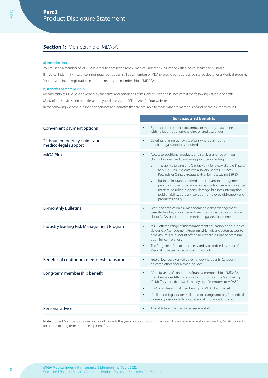# **Section 1: Membership of MDASA**

### **a) Introduction**

You must be a member of MDASA in order to obtain and renew medical indemnity insurance with Medical Insurance Australia. If medical indemnity insurance is not required you can still be a member of MDASA provided you are a registered doctor or a Medical Student. You must maintain registration in order to retain your membership of MDASA.

### **b) Benefits of Membership**

Membership of MDASA is governed by the terms and conditions of its Constitution and brings with it the following valuable benefits. Many of our services and benefits are only available via the "Client Area" of our website.

In the following we have outlined the services and benefits that are available to those who are members of and/or are insured with MIGA.

|                                                      | <b>Services and benefits</b>                                                                                                                                                                                                                                                                                                                                                                                                                                                                                                                                                                                                          |  |  |
|------------------------------------------------------|---------------------------------------------------------------------------------------------------------------------------------------------------------------------------------------------------------------------------------------------------------------------------------------------------------------------------------------------------------------------------------------------------------------------------------------------------------------------------------------------------------------------------------------------------------------------------------------------------------------------------------------|--|--|
| Convenient payment options                           | By direct debit, credit card, annual or monthly instalments<br>with no loadings or on-charging of credit card fees                                                                                                                                                                                                                                                                                                                                                                                                                                                                                                                    |  |  |
| 24 hour emergency claims and<br>medico-legal support | Catering for emergency situations where claims and<br>$\bullet$<br>medico-legal support is required                                                                                                                                                                                                                                                                                                                                                                                                                                                                                                                                   |  |  |
| <b>MIGA Plus</b>                                     | Access to additional products and services aligned with our<br>clients' business and day-to-day practice, including:<br>The ability to earn one Qantas Point for every eligible \$1 paid<br>$\mathbf{o}$<br>to MIGA <sup>1</sup> . MIGA clients can also join Qantas Business<br>Rewards or Qantas Frequent Flyer for free, saving \$89.50<br>Business Insurance, offered under a partner arrangement<br>$\circ$<br>providing cover for a range of day-to-day business insurance<br>matters including property damage, business interruption,<br>public liability, burglary, tax audit, employee dishonesty and<br>products liability |  |  |
| <b>Bi-monthly Bulletins</b>                          | Featuring articles on risk management, claims management,<br>case studies, key insurance and membership issues, information<br>about MIGA and important medico-legal developments                                                                                                                                                                                                                                                                                                                                                                                                                                                     |  |  |
| Industry leading Risk Management Program             | MIGA offers a range of risk management education opportunities<br>$\bullet$<br>via our Risk Management Program which gives doctors access to<br>a maximum 10% discount off the next year's insurance premium<br>upon full completion.<br>The Program is free to our clients and is accredited by most of the<br>Medical Colleges for reciprocal CPD points.                                                                                                                                                                                                                                                                           |  |  |
| Benefits of continuous membership/insurance          | Free or low-cost Run-off cover for downgrades in Category,<br>$\bullet$<br>on completion of qualifying periods                                                                                                                                                                                                                                                                                                                                                                                                                                                                                                                        |  |  |
| Long-term membership benefit                         | After 40 years of continuous financial membership of MDASA,<br>$\bullet$<br>members are entitled to apply for Compound Life Membership<br>(CLM). This benefit rewards the loyalty of members to MDASA.<br>CLM provides annual membership of MDASA at no cost<br>$\bullet$<br>If still practising, doctors still need to arrange and pay for medical<br>$\bullet$<br>indemnity insurance through Medical Insurance Australia                                                                                                                                                                                                           |  |  |
| Personal advice                                      | Available from our dedicated service staff                                                                                                                                                                                                                                                                                                                                                                                                                                                                                                                                                                                            |  |  |

**Note** Student Membership does not count towards the years of continuous insurance and financial membership required by MIGA to qualify for access to long term membership benefits.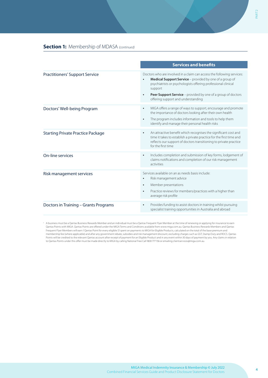# **Section 1:** Membership of MDASA *(continued)*

|                                          | <b>Services and benefits</b>                                                                                                                                                                                                                                                                                                                         |
|------------------------------------------|------------------------------------------------------------------------------------------------------------------------------------------------------------------------------------------------------------------------------------------------------------------------------------------------------------------------------------------------------|
| <b>Practitioners' Support Service</b>    | Doctors who are involved in a claim can access the following services:<br>Medical Support Service - provided by one of a group of<br>$\bullet$<br>psychiatrists or psychologists offering professional clinical<br>support<br><b>Peer Support Service</b> – provided by one of a group of doctors<br>$\bullet$<br>offering support and understanding |
| Doctors' Well-being Program              | MIGA offers a range of ways to support, encourage and promote<br>$\bullet$<br>the importance of doctors looking after their own health<br>The program includes information and tools to help them<br>$\bullet$<br>identify and manage their personal health risks                                                                                    |
| <b>Starting Private Practice Package</b> | An attractive benefit which recognises the significant cost and<br>$\bullet$<br>time it takes to establish a private practice for the first time and<br>reflects our support of doctors transitioning to private practice<br>for the first time                                                                                                      |
| On-line services                         | Includes completion and submission of key forms, lodgement of<br>$\bullet$<br>claims notifications and completion of our risk management<br>activities                                                                                                                                                                                               |
| Risk management services                 | Services available on an as needs basis include:<br>Risk management advice<br>$\bullet$<br>Member presentations<br>$\bullet$<br>Practice reviews for members/practices with a higher than<br>$\bullet$<br>average risk profile                                                                                                                       |
| Doctors in Training - Grants Programs    | Provides funding to assist doctors in training whilst pursuing<br>$\bullet$<br>specialist training opportunities in Australia and abroad                                                                                                                                                                                                             |

<sup>1</sup> A business must be a Qantas Business Rewards Member and an individual must be a Qantas Frequent Flyer Member at the time of renewing or applying for insurance to earn Qantas Points with MIGA. Qantas Points are offered under the MIGA Terms and Conditions available from www.miga.com.au. Qantas Business Rewards Members and Qantas Frequent Flyer Members will earn 1 Qantas Point for every eligible \$1 spent on payments to MIGA for Eligible Products, calculated on the total of the base premium and membership fee (where applicable) and after any government rebate, subsidies and risk management discount, excluding charges such as GST, Stamp Duty and ROCS. Qantas Points will be credited to the relevant Qantas account after receipt of payment for an Eligible Product and in any event within 30 days of payment by you. Any claims in relation to Qantas Points under this offer must be made directly to MIGA by calling National Free Call 1800 777 156 or emailing clientservices@miga.com.au.

PART<sub>2</sub>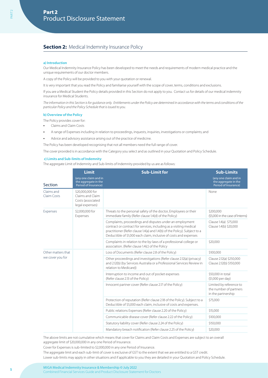# **Section 2: Medical Indemnity Insurance Policy**

### **a) Introduction**

Our Medical Indemnity Insurance Policy has been developed to meet the needs and requirements of modern medical practice and the unique requirements of our doctor members.

A copy of the Policy will be provided to you with your quotation or renewal.

It is very important that you read the Policy and familiarise yourself with the scope of cover, terms, conditions and exclusions.

If you are a Medical Student the Policy details provided in this Section do not apply to you. Contact us for details of our medical indemnity insurance for Medical Students.

*The information in this Section is for guidance only. Entitlements under the Policy are determined in accordance with the terms and conditions of the particular Policy and the Policy Schedule that is issued to you.*

### **b) Overview of the Policy**

The Policy provides cover for:

- **•** Claims and Claim Costs
- **•** A range of Expenses including in relation to proceedings, inquests, inquiries, investigations or complaints; and
- **•** Advice and advisory assistance arising out of the practice of medicine.

The Policy has been developed recognising that not all members need the full range of cover.

The cover provided is in accordance with the Category you select and as outlined in your Quotation and Policy Schedule.

### **c) Limits and Sub-limits of Indemnity**

The aggregate Limit of Indemnity and Sub-limits of Indemnity provided by us are as follows:

|                           | <b>Limit</b>                                                                 | <b>Sub-Limit for</b>                                                                                                                                                                                                                                                             | <b>Sub-Limits</b>                                                       |
|---------------------------|------------------------------------------------------------------------------|----------------------------------------------------------------------------------------------------------------------------------------------------------------------------------------------------------------------------------------------------------------------------------|-------------------------------------------------------------------------|
| Section                   | (any one claim and in<br>the aggregate in the<br>Period of Insurance)        |                                                                                                                                                                                                                                                                                  | (any one claim and in<br>the aggregate in the<br>Period of Insurance)   |
| Claims and<br>Claim Costs | \$20,000,000 for<br>Claims and Claim<br>Costs (associated<br>legal expenses) |                                                                                                                                                                                                                                                                                  | None                                                                    |
| Expenses                  | \$2,000,000 for<br>Expenses                                                  | Threats to the personal safety of the doctor, Employees or their<br>immediate family (Refer clause 1.4(d) of the Policy)                                                                                                                                                         | \$200,000<br>(\$5,000 in the case of Interns)                           |
|                           |                                                                              | Complaints, proceedings and disputes under an employment<br>contract or contract for services, including as a visiting medical<br>practitioner (Refer clause 1.4(a) and 1.4(b) of the Policy). Subject to a<br>Deductible of \$1,000 each claim, inclusive of costs and expenses | Clause 1.4(a) \$75,000<br>Clause 1.4(b) \$20,000                        |
|                           |                                                                              | Complaints in relation to the by-laws of a professional college or<br>association. (Refer clause 1.4(c) of the Policy                                                                                                                                                            | \$20,000                                                                |
| Other matters that        |                                                                              | Loss of Documents (Refer clause 2.8 of the Policy)                                                                                                                                                                                                                               | \$100,000                                                               |
| we cover you for          |                                                                              | Other proceedings and investigations (Refer clause 2.12(a) (privacy)<br>and 2.12(b) (by Services Australia or a Professional Services Review in<br>relation to Medicare))                                                                                                        | Clause 2.12(a) \$250,000<br>Clause 2.12(b) \$150,000                    |
|                           |                                                                              | Interruption to income and out of pocket expenses<br>(Refer clause 2.13 of the Policy)                                                                                                                                                                                           | \$50,000 in total<br>(\$1,000 per day)                                  |
|                           |                                                                              | Innocent partner cover (Refer clause 2.17 of the Policy)                                                                                                                                                                                                                         | Limited by reference to<br>the number of partners<br>in the partnership |
|                           |                                                                              | Protection of reputation (Refer clause 2.18 of the Policy). Subject to a<br>Deductible of \$5,000 each claim, inclusive of costs and expenses.                                                                                                                                   | \$75,000                                                                |
|                           |                                                                              | Public relations Expenses (Refer clause 2.20 of the Policy)                                                                                                                                                                                                                      | \$15,000                                                                |
|                           |                                                                              | Communicable disease cover (Refer clause 2.22 of the Policy)                                                                                                                                                                                                                     | \$100,000                                                               |
|                           |                                                                              | Statutory liability cover (Refer clause 2.24 of the Policy)                                                                                                                                                                                                                      | \$150,000                                                               |
|                           |                                                                              | Mandatory breach notification (Refer clause 2.25 of the Policy)                                                                                                                                                                                                                  | \$20,000                                                                |

The above limits are not cumulative which means that cover for Claims and Claim Costs and Expenses are subject to an overall aggregate limit of \$20,000,000 in any one Period of Insurance.

Cover for Expenses is sub-limited to \$2,000,000 in any one Period of Insurance.

The aggregate limit and each sub-limit of cover is exclusive of GST to the extent that we are entitled to a GST credit.

Lower sub-limits may apply in other situations and if applicable to you they are detailed in your Quotation and Policy Schedule.

PART 2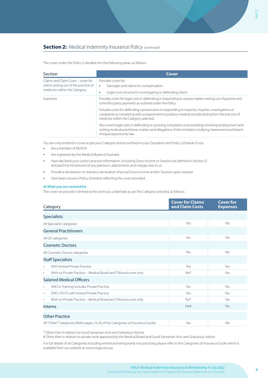The cover under the Policy is divided into the following areas, as follows:

| Section                                                                                                     | Cover                                                                                                                                                                                                                                                                                                                                                                                        |
|-------------------------------------------------------------------------------------------------------------|----------------------------------------------------------------------------------------------------------------------------------------------------------------------------------------------------------------------------------------------------------------------------------------------------------------------------------------------------------------------------------------------|
| Claims and Claim Costs - cover for<br>claims arising out of the practice of<br>medicine within the Category | Provides cover for:<br>Damages and claims for compensation<br>Legal costs incurred in investigating or defending claims                                                                                                                                                                                                                                                                      |
| Expenses                                                                                                    | Provides cover for legal costs in defending or responding to various matters arising out of practice and<br>some first party payments as outlined under the Policy.<br>Includes cover for defending a prosecution or responding to inquests, inquiries, investigations or                                                                                                                    |
|                                                                                                             | complaints or complying with a requirement to produce medical records arising from the practice of<br>medicine within the Category selected.<br>Also covers legal costs in defending or pursuing complaints or proceedings involving employment and<br>visiting medical practitioner matters and allegations of discrimination, bullying, harassment and breach<br>of equal opportunity law. |

You are only entitled to cover as per your Category and as outlined in your Quotation and Policy Schedule if you:

- **•** Are a member of MDASA
- **•** Are registered by the Medical Board of Australia
- **•** Have declared your correct practice information, including Gross Income or Sessions (as defined in Section 5) and paid the full amount of any premium, adjustments and charges due to us
- **•** Provide a declaration or statutory declaration of actual Gross Income and/or Sessions upon request
- **•** Have been issued a Policy Schedule reflecting the cover provided.

### **d) What you are covered for**

The cover we provide is limited to the work you undertake as per the Category selected, as follows:

| Category                                                                        | <b>Cover for Claims</b><br>and Claim Costs | <b>Cover for</b><br><b>Expenses</b> |
|---------------------------------------------------------------------------------|--------------------------------------------|-------------------------------------|
| <b>Specialists</b>                                                              |                                            |                                     |
| All Specialist categories                                                       | Yes                                        | Yes                                 |
| <b>General Practitioners</b>                                                    |                                            |                                     |
| All GP categories                                                               | Yes                                        | Yes                                 |
| <b>Cosmetic Doctors</b>                                                         |                                            |                                     |
| All Cosmetic Doctor categories                                                  | Yes                                        | Yes                                 |
| <b>Staff Specialists</b>                                                        |                                            |                                     |
| With limited Private Practice<br>٠                                              | Yes                                        | Yes                                 |
| With no Private Practice - Medical Board and Tribunal cover only<br>٠           | $No*$                                      | Yes                                 |
| <b>Salaried Medical Officers</b>                                                |                                            |                                     |
| SMO in Training includes Private Practice<br>۰                                  | Yes                                        | Yes                                 |
| SMO >PGY5 with limited Private Practice<br>٠                                    | Yes                                        | Yes                                 |
| With no Private Practice - Medical Board and Tribunal cover only<br>٠           | $No*$                                      | Yes                                 |
| <b>Interns</b>                                                                  | No#                                        | Yes                                 |
| <b>Other Practice</b>                                                           |                                            |                                     |
| All "Other" Categories (Refer pages 23-26 of the Categories of Insurance Guide) | Yes                                        | Yes                                 |

\* Other than in relation to Good Samaritan Acts and Gratuitous Advice

# Other than in relation to private work approved by the Medical Board and Good Samaritan Acts and Gratuitous Advice

For full details of all Categories including retired and temporarily not practising please refer to the Categories of Insurance Guide which is available from our website at www.miga.com.au.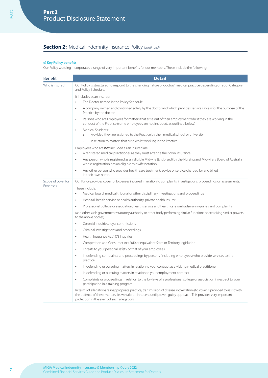### **e) Key Policy benefits**

Our Policy wording incorporates a range of very important benefits for our members. These include the following:

| <b>Benefit</b>     | <b>Detail</b>                                                                                                                                                                                                                                                                                       |
|--------------------|-----------------------------------------------------------------------------------------------------------------------------------------------------------------------------------------------------------------------------------------------------------------------------------------------------|
| Who is insured     | Our Policy is structured to respond to the changing nature of doctors' medical practice depending on your Category<br>and Policy Schedule.                                                                                                                                                          |
|                    | It includes as an insured:<br>The Doctor named in the Policy Schedule<br>$\bullet$                                                                                                                                                                                                                  |
|                    | A company owned and controlled solely by the doctor and which provides services solely for the purpose of the<br>$\bullet$<br>Practice by the doctor                                                                                                                                                |
|                    | Persons who are Employees for matters that arise out of their employment whilst they are working in the<br>$\bullet$<br>conduct of the Practice (some employees are not included, as outlined below)                                                                                                |
|                    | Medical Students:<br>$\bullet$<br>Provided they are assigned to the Practice by their medical school or university<br>$\circ$                                                                                                                                                                       |
|                    | In relation to matters that arise whilst working in the Practice.<br>o                                                                                                                                                                                                                              |
|                    | Employees who are <b>not</b> included as an insured are:<br>A registered medical practitioner as they must arrange their own insurance                                                                                                                                                              |
|                    | Any person who is registered as an Eligible Midwife (Endorsed) by the Nursing and Midwifery Board of Australia<br>$\bullet$<br>whose registration has an eligible midwife notation                                                                                                                  |
|                    | Any other person who provides health care treatment, advice or service charged for and billed<br>$\bullet$<br>in their own name.                                                                                                                                                                    |
| Scope of cover for | Our Policy provides cover for Expenses incurred in relation to complaints, investigations, proceedings or assessments.                                                                                                                                                                              |
| Expenses           | These include:                                                                                                                                                                                                                                                                                      |
|                    | Medical board, medical tribunal or other disciplinary investigations and proceedings<br>$\bullet$                                                                                                                                                                                                   |
|                    | Hospital, health service or health authority, private health insurer<br>٠                                                                                                                                                                                                                           |
|                    | Professional college or association, health service and health care ombudsman inquiries and complaints                                                                                                                                                                                              |
|                    | (and other such government/statutory authority or other body performing similar functions or exercising similar powers<br>to the above bodies)                                                                                                                                                      |
|                    | Coronial inquiries, royal commissions<br>$\bullet$                                                                                                                                                                                                                                                  |
|                    | Criminal investigations and proceedings<br>$\bullet$                                                                                                                                                                                                                                                |
|                    | Health Insurance Act 1973 inquiries<br>$\bullet$                                                                                                                                                                                                                                                    |
|                    | Competition and Consumer Act 2010 or equivalent State or Territory legislation<br>$\bullet$                                                                                                                                                                                                         |
|                    | Threats to your personal safety or that of your employees<br>$\bullet$                                                                                                                                                                                                                              |
|                    | In defending complaints and proceedings by persons (including employees) who provide services to the<br>$\bullet$<br>practice                                                                                                                                                                       |
|                    | In defending or pursuing matters in relation to your contract as a visiting medical practitioner<br>$\bullet$                                                                                                                                                                                       |
|                    | In defending or pursuing matters in relation to your employment contract<br>$\bullet$                                                                                                                                                                                                               |
|                    | Complaints or proceedings in relation to the by-laws of a professional college or association in respect to your<br>$\bullet$<br>participation in a training program.                                                                                                                               |
|                    | In terms of allegations re inappropriate practice, transmission of disease, intoxication etc, cover is provided to assist with<br>the defence of these matters, i.e. we take an innocent until proven guilty approach. This provides very important<br>protection in the event of such allegations. |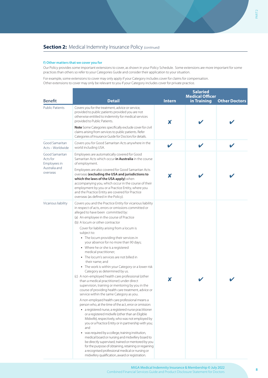### **f) Other matters that we cover you for**

Our Policy provides some important extensions to cover, as shown in your Policy Schedule. Some extensions are more important for some practices than others so refer to your Categories Guide and consider their application to your situation.

For example, some extensions to cover may only apply if your Category includes cover for claims for compensation. Other extensions to cover may only be relevant to you if your Category includes cover for private practice.

| <b>Benefit</b>                             | <b>Detail</b>                                                                                                                                                                                                                                                                                                                                                                                                                                                                                                                                                                                                                                                                                                                                                                                                                                                                                                                                                                                                                                                                                                                                                                                                                                                                                                                                                                                                                                                                                                                                      | <b>Intern</b> | <b>Salaried</b><br><b>Medical Officer</b> |                      |
|--------------------------------------------|----------------------------------------------------------------------------------------------------------------------------------------------------------------------------------------------------------------------------------------------------------------------------------------------------------------------------------------------------------------------------------------------------------------------------------------------------------------------------------------------------------------------------------------------------------------------------------------------------------------------------------------------------------------------------------------------------------------------------------------------------------------------------------------------------------------------------------------------------------------------------------------------------------------------------------------------------------------------------------------------------------------------------------------------------------------------------------------------------------------------------------------------------------------------------------------------------------------------------------------------------------------------------------------------------------------------------------------------------------------------------------------------------------------------------------------------------------------------------------------------------------------------------------------------------|---------------|-------------------------------------------|----------------------|
|                                            |                                                                                                                                                                                                                                                                                                                                                                                                                                                                                                                                                                                                                                                                                                                                                                                                                                                                                                                                                                                                                                                                                                                                                                                                                                                                                                                                                                                                                                                                                                                                                    |               | in Training                               | <b>Other Doctors</b> |
| <b>Public Patients</b>                     | Covers you for the treatment, advice or service,<br>provided to public patients provided you are not<br>otherwise entitled to indemnity for medical services<br>provided to Public Patients.                                                                                                                                                                                                                                                                                                                                                                                                                                                                                                                                                                                                                                                                                                                                                                                                                                                                                                                                                                                                                                                                                                                                                                                                                                                                                                                                                       | X             |                                           |                      |
|                                            | Note Some Categories specifically exclude cover for civil<br>claims arising from services to public patients. Refer<br>Categories of Insurance Guide for Doctors for details.                                                                                                                                                                                                                                                                                                                                                                                                                                                                                                                                                                                                                                                                                                                                                                                                                                                                                                                                                                                                                                                                                                                                                                                                                                                                                                                                                                      |               |                                           |                      |
| Good Samaritan<br>Acts-Worldwide           | Covers you for Good Samaritan Acts anywhere in the<br>world including USA.                                                                                                                                                                                                                                                                                                                                                                                                                                                                                                                                                                                                                                                                                                                                                                                                                                                                                                                                                                                                                                                                                                                                                                                                                                                                                                                                                                                                                                                                         |               |                                           |                      |
| Good Samaritan<br>Acts for<br>Employees in | Employees are automatically covered for Good<br>Samaritan Acts which occur in Australia in the course<br>of employment.                                                                                                                                                                                                                                                                                                                                                                                                                                                                                                                                                                                                                                                                                                                                                                                                                                                                                                                                                                                                                                                                                                                                                                                                                                                                                                                                                                                                                            |               |                                           |                      |
| Australia and<br>overseas                  | Employees are also covered for Good Samaritan Acts<br>overseas (excluding the USA and jurisdictions to<br>which the laws of the USA apply) when<br>accompanying you, which occur in the course of their<br>employment by you or a Practice Entity, where you<br>and the Practice Entity are covered for Practice<br>overseas (as defined in the Policy).                                                                                                                                                                                                                                                                                                                                                                                                                                                                                                                                                                                                                                                                                                                                                                                                                                                                                                                                                                                                                                                                                                                                                                                           | X             |                                           |                      |
| Vicarious liability                        | Covers you and the Practice Entity for vicarious liability<br>in respect of acts, errors or omissions committed or<br>alleged to have been committed by:<br>(a) An employee in the course of Practice<br>(b) A locum or other contractor<br>Cover for liability arising from a locum is<br>subject to:<br>• The locum providing their services in<br>your absence for no more than 90 days;<br>• Where he or she is a registered<br>medical practitioner;<br>• The locum's services are not billed in<br>their name; and<br>• The work is within your Category or a lower risk<br>Category as determined by us.<br>(c) A non-employed health care professional (other<br>than a medical practitioner) under direct<br>supervision, training or mentoring by you in the<br>course of providing health care treatment, advice or<br>service within the same Category as you.<br>A non-employed health care professional means a<br>person who, at the time of the act, error or omission:<br>• a registered nurse, a registered nurse practitioner<br>or a registered midwife (other than an Eligible<br>Midwife), respectively, who was not employed by<br>you or a Practice Entity or in partnership with you;<br>and<br>• was required by a college, training institution,<br>medical board or nursing and midwifery board to<br>be directly supervised, trained or mentored by you<br>for the purpose of obtaining, retaining or regaining<br>a recognised professional medical or nursing or<br>midwifery qualification, award or registration. | X             |                                           |                      |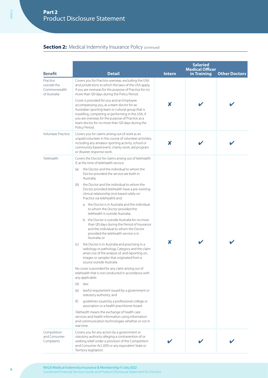|                                                         |                                                                                                                                                                                                                                                                                                                               | <b>Salaried</b> |                                       |                      |
|---------------------------------------------------------|-------------------------------------------------------------------------------------------------------------------------------------------------------------------------------------------------------------------------------------------------------------------------------------------------------------------------------|-----------------|---------------------------------------|----------------------|
| <b>Benefit</b>                                          | <b>Detail</b>                                                                                                                                                                                                                                                                                                                 | <b>Intern</b>   | <b>Medical Officer</b><br>in Training | <b>Other Doctors</b> |
| Practice<br>outside the<br>Commonwealth<br>of Australia | Covers you for Practice overseas, excluding the USA<br>and jurisdictions to which the laws of the USA apply,<br>if you are overseas for the purpose of Practice for no<br>more than 120 days during the Policy Period.                                                                                                        |                 |                                       |                      |
|                                                         | Cover is provided for you and an Employee<br>accompanying you, as a team doctor for an<br>Australian sporting team or cultural group that is<br>travelling, competing or performing in the USA, if<br>you are overseas for the purpose of Practice as a<br>team doctor for no more than 120 days during the<br>Policy Period. | X               |                                       |                      |
| <b>Volunteer Practice</b>                               | Covers you for claims arising out of work as an<br>unpaid volunteer in the course of volunteer activities,<br>including any amateur sporting activity, school or<br>community based event, charity work, aid program<br>or disaster response work.                                                                            | X               |                                       |                      |
| Telehealth                                              | Covers the Doctor for claims arising out of telehealth<br>if, at the time of telehealth service:                                                                                                                                                                                                                              |                 |                                       |                      |
|                                                         | the Doctor and the individual to whom the<br>(a)<br>Doctor provided the service are both in<br>Australia;                                                                                                                                                                                                                     |                 |                                       |                      |
|                                                         | the Doctor and the individual to whom the<br>(b)<br>Doctor provided telehealth have a pre-existing<br>clinical relationship (not based solely on<br>Practice via telehealth) and:                                                                                                                                             | X               |                                       |                      |
|                                                         | a. the Doctor is in Australia and the individual<br>to whom the Doctor provided the<br>telehealth is outside Australia;                                                                                                                                                                                                       |                 |                                       |                      |
|                                                         | b. the Doctor is outside Australia for no more<br>than 120 days during the Period of Insurance<br>and the individual to whom the Doctor<br>provided the telehealth service is in<br>Australia; or                                                                                                                             |                 |                                       |                      |
|                                                         | the Doctor is in Australia and practising in a<br>(c)<br>radiology or pathology Category and the claim<br>arises out of the analysis of, and reporting on,<br>images or samples that originated from a<br>source outside Australia                                                                                            |                 |                                       |                      |
|                                                         | No cover is provided for any claim arising out of<br>telehealth that is not conducted in accordance with<br>any applicable:                                                                                                                                                                                                   |                 |                                       |                      |
|                                                         | (d)<br>law;                                                                                                                                                                                                                                                                                                                   |                 |                                       |                      |
|                                                         | lawful requirement issued by a government or<br>(e)<br>statutory authority; and                                                                                                                                                                                                                                               |                 |                                       |                      |
|                                                         | (f)<br>guidelines issued by a professional college or<br>association or a health practitioner board                                                                                                                                                                                                                           |                 |                                       |                      |
|                                                         | Telehealth means the exchange of health care<br>services and health information using information<br>and communication technologies whether or not in<br>real time.                                                                                                                                                           |                 |                                       |                      |
| Competition<br>and Consumer<br>Complaints               | Covers you for any action by a government or<br>statutory authority alleging a contravention of or<br>seeking relief under a provision of the Competition<br>and Consumer Act 2010 or any equivalent State or<br>Territory legislation.                                                                                       |                 |                                       |                      |

PART<sub>2</sub>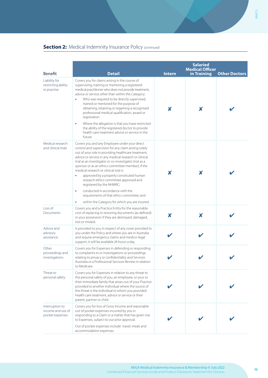|                                                         |                                                                                                                                                                                                                                                                                                                                                                                                                                                                                                              |               | <b>Salaried</b>        |                      |
|---------------------------------------------------------|--------------------------------------------------------------------------------------------------------------------------------------------------------------------------------------------------------------------------------------------------------------------------------------------------------------------------------------------------------------------------------------------------------------------------------------------------------------------------------------------------------------|---------------|------------------------|----------------------|
|                                                         |                                                                                                                                                                                                                                                                                                                                                                                                                                                                                                              |               | <b>Medical Officer</b> |                      |
| <b>Benefit</b>                                          | <b>Detail</b>                                                                                                                                                                                                                                                                                                                                                                                                                                                                                                | <b>Intern</b> | in Training            | <b>Other Doctors</b> |
| Liability for<br>restricting ability<br>to practise     | Covers you for claims arising in the course of<br>supervising, training or mentoring a registered<br>medical practitioner who does not provide treatment,<br>advice or service other than within the Category:<br>Who was required to be directly supervised,<br>$\bullet$<br>trained or mentored for the purpose of<br>obtaining, retaining or regaining a recognised<br>professional medical qualification, award or<br>registration<br>Where the allegation is that you have restricted<br>$\bullet$      | X             | X                      |                      |
|                                                         | the ability of the registered doctor to provide<br>health care treatment advice or service in the<br>future.                                                                                                                                                                                                                                                                                                                                                                                                 |               |                        |                      |
| Medical research<br>and clinical trials                 | Covers you and any Employee under your direct<br>control and supervision for any claim arising solely<br>out of your role in providing healthcare treatment,<br>advice or service in any medical research or clinical<br>trial as an investigator or co-investigator (not as a<br>sponsor or as an ethics committee member), if the<br>medical research or clinical trial is:<br>approved by a properly constituted human<br>$\bullet$<br>research ethics committee approved and<br>registered by the NHMRC; | X             | X                      |                      |
|                                                         | conducted in accordance with the<br>$\bullet$<br>requirements of that ethics committee; and                                                                                                                                                                                                                                                                                                                                                                                                                  |               |                        |                      |
| Loss of                                                 | within the Category for which you are insured.<br>$\bullet$<br>Covers you and a Practice Entity for the reasonable                                                                                                                                                                                                                                                                                                                                                                                           |               |                        |                      |
| Documents                                               | cost of replacing or restoring documents (as defined)<br>in your possession if they are destroyed, damaged,<br>lost or mislaid.                                                                                                                                                                                                                                                                                                                                                                              | X             | X                      |                      |
| Advice and<br>advisory<br>assistance                    | Is provided to you in respect of any cover provided to<br>you under the Policy and where you are in Australia<br>and require emergency claims and medico-legal<br>support, it will be available 24 hours a day.                                                                                                                                                                                                                                                                                              |               |                        |                      |
| Other<br>proceedings and<br>investigations              | Covers you for Expenses in defending or responding<br>to complaints to or investigations or proceedings<br>relating to privacy or confidentiality and Services<br>Australia or a Professional Services Review in relation<br>to Medicare.                                                                                                                                                                                                                                                                    |               |                        |                      |
| Threat to<br>personal safety                            | Covers you for Expenses in relation to any threat to<br>the personal safety of you, an employee, or your or<br>their immediate family that arises out of your Practice<br>provided to another individual where the source of<br>the threat is the individual to whom you provided<br>health care treatment, advice or service or their<br>parent, partner or child                                                                                                                                           |               |                        |                      |
| Interruption to<br>income and out of<br>pocket expenses | Covers you for loss of Gross Income and reasonable<br>out of pocket expenses incurred by you in<br>responding to a Claim or a matter that has given rise<br>to Expenses, subject to our prior approval.<br>Out of pocket expenses include travel, meals and<br>accommodation expenses.                                                                                                                                                                                                                       |               |                        |                      |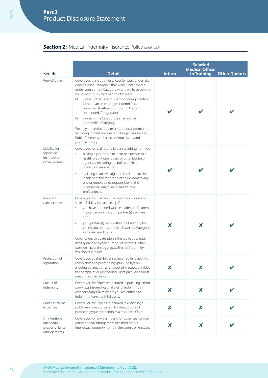|                                                                   |                                                                                                                                                                                                                                                                                                                                                                                                                                                                                                                                                                                                                                                   |               | <b>Salaried</b><br><b>Medical Officer</b> |                      |
|-------------------------------------------------------------------|---------------------------------------------------------------------------------------------------------------------------------------------------------------------------------------------------------------------------------------------------------------------------------------------------------------------------------------------------------------------------------------------------------------------------------------------------------------------------------------------------------------------------------------------------------------------------------------------------------------------------------------------------|---------------|-------------------------------------------|----------------------|
| <b>Benefit</b>                                                    | <b>Detail</b>                                                                                                                                                                                                                                                                                                                                                                                                                                                                                                                                                                                                                                     | <b>Intern</b> | in Training                               | <b>Other Doctors</b> |
| Run-off cover                                                     | Covers you at no additional cost for work undertaken<br>under a prior Category if that work is not covered<br>under your current Category where we have covered<br>you continuously for a period of at least:<br>2 years, if the Category is for ongoing practice<br>(i)<br>(other than an employer indemnified,<br>non-clinical, retired, compound life or<br>suspended Category); or<br>5 years, if the Category is an employer<br>(ii)<br>indemnified Category.<br>We may otherwise require an additional premium,<br>including for where cover is no longer required for<br>Public Patients and based on Your claims and<br>practice history. |               |                                           |                      |
| Liability for<br>reporting<br>incidents or<br>other persons       | Covers you for Claims and Expenses arising from you:<br>having reported an incident or a person to a<br>health practitioner board or other bodies or<br>agencies, including the police or child<br>protection services; or<br>assisting in an investigation in relation to the<br>$\bullet$<br>incident or the reporting of an incident to any<br>one or more bodies responsible for the<br>professional discipline of health care<br>professionals.                                                                                                                                                                                              |               |                                           |                      |
| Innocent<br>partner cover                                         | Covers you for Claims arising out of your joint and<br>several liability in partnership if:<br>you have obtained written evidence of current<br>insurance covering your partner(s) each year;<br>and<br>your partner(s) work within the Category for<br>$\bullet$<br>which you are insured, or a lower risk Category<br>as determined by us.<br>Cover under this extension is limited to your total<br>liability divided by the number of partners in the<br>partnership, or the aggregate limit of indemnity,<br>whichever is lesser.                                                                                                            | X             | X                                         |                      |
| Protection of<br>reputation                                       | Covers you against Expenses incurred in relation to<br>complaints and proceedings pursued by you<br>alleging defamation arising out of Practice, provided<br>the complaint or proceeding is not pursued against<br>persons insured by us.                                                                                                                                                                                                                                                                                                                                                                                                         | Х             | x                                         |                      |
| Pursuit of<br>indemnity                                           | Covers you for Expenses incurred in pursuing a third<br>party (e.g. insurer, hospital etc) for indemnity in<br>respect of any Claim where you are entitled to<br>indemnity from the third party.                                                                                                                                                                                                                                                                                                                                                                                                                                                  | X             | X                                         |                      |
| Public relations<br>expenses                                      | Covers you for Expenses incurred in engaging a<br>public relations consultant for the purpose of<br>protecting your reputation as a result of a Claim.                                                                                                                                                                                                                                                                                                                                                                                                                                                                                            | X             | X                                         |                      |
| Unintentional<br>intellectual<br>property rights<br>infringements | Covers you for any Claims and for Expenses from an<br>unintentional infringement of a third party's<br>intellectual property rights in the course of Practice.                                                                                                                                                                                                                                                                                                                                                                                                                                                                                    | X             | X                                         |                      |

PART<sub>2</sub>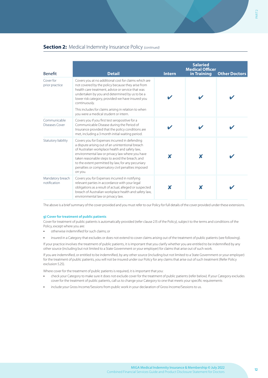| <b>Benefit</b>                   | <b>Detail</b>                                                                                                                                                                                                                                                                                                                                                                  | <b>Intern</b> | <b>Salaried</b><br><b>Medical Officer</b><br>in Training | <b>Other Doctors</b> |
|----------------------------------|--------------------------------------------------------------------------------------------------------------------------------------------------------------------------------------------------------------------------------------------------------------------------------------------------------------------------------------------------------------------------------|---------------|----------------------------------------------------------|----------------------|
| Cover for<br>prior practice      | Covers you at no additional cost for claims which are<br>not covered by the policy because they arise from<br>health care treatment, advice or service that was<br>undertaken by you and determined by us to be a<br>lower risk category, provided we have insured you<br>continuously.                                                                                        |               |                                                          |                      |
|                                  | This includes for claims arising in relation to when<br>you were a medical student or intern.                                                                                                                                                                                                                                                                                  |               |                                                          |                      |
| Communicable<br>Diseases Cover   | Covers you if you first test seropositive for a<br>Communicable Disease during the Period of<br>Insurance provided that the policy conditions are<br>met, including a 3 month initial waiting period.                                                                                                                                                                          |               |                                                          |                      |
| Statutory liability              | Covers you for Expenses incurred in defending<br>a dispute arising out of an unintentional breach<br>of Australian workplace health and safety law,<br>environmental law or privacy law where you have<br>taken reasonable steps to avoid the breach; and<br>to the extent permitted by law, for any pecuniary<br>penalties or compensatory civil penalties imposed<br>on you. | x             | X                                                        |                      |
| Mandatory breach<br>notification | Covers you for Expenses incurred in notifying<br>relevant parties in accordance with your legal<br>obligations as a result of actual, alleged or suspected<br>breach of Australian workplace health and safety law,<br>environmental law or privacy law.                                                                                                                       | x             | x                                                        |                      |

The above is a brief summary of the cover provided and you must refer to our Policy for full details of the cover provided under these extensions.

### **g) Cover for treatment of public patients**

Cover for treatment of public patients is automatically provided (refer clause 2.15 of the Policy), subject to the terms and conditions of the Policy, except where you are:

- **•** otherwise indemnified for such claims; or
- **•** insured in a Category that excludes or does not extend to cover claims arising out of the treatment of public patients (see following).

If your practice involves the treatment of public patients, it is important that you clarify whether you are entitled to be indemnified by any other source (including but not limited to a State Government or your employer) for claims that arise out of such work.

If you are indemnified, or entitled to be indemnified, by any other source (including but not limited to a State Government or your employer) for the treatment of public patients, you will not be insured under our Policy for any claims that arise out of such treatment (Refer Policy exclusion 5.25).

Where cover for the treatment of public patients is required, it is important that you:

- **•** check your Category to make sure it does not exclude cover for the treatment of public patients (refer below). If your Category excludes cover for the treatment of public patients, call us to change your Category to one that meets your specific requirements
- **•** include your Gross Income/Sessions from public work in your declaration of Gross Income/Sessions to us.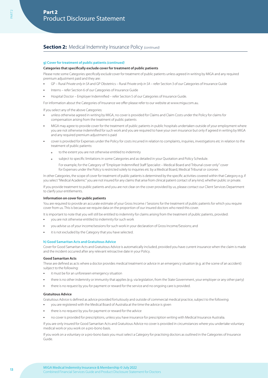### **g) Cover for treatment of public patients** *(continued)*

### **Categories that specifically exclude cover for treatment of public patients**

Please note some Categories *specifically exclude* cover for treatment of public patients unless agreed in writing by MIGA and any required premium adjustment paid and they are:

- **•** GP Rural *Private only in SA* and GP Obstetrics Rural *Private only in SA* refer Section 3 of our Categories of Insurance Guide
- **•** Interns refer Section 6 of our Categories of Insurance Guide
- **•** Hospital Doctor Employer Indemnified refer Section 5 of our Categories of Insurance Guide.

For information about the Categories of Insurance we offer please refer to our website at www.miga.com.au.

If you select any of the above Categories:

- **•** unless otherwise agreed in writing by MIGA, no cover is provided for Claims and Claim Costs under the Policy for claims for compensation arising from the treatment of public patients
- **•** MIGA may agree to provide cover for the treatment of public patients in public hospitals undertaken outside of your employment where you are not otherwise indemnified for such work and you are required to have your own insurance but only if agreed in writing by MIGA and any required premium adjustment is paid
- **•** cover is provided for Expenses under the Policy for costs incurred in relation to complaints, inquiries, investigations etc in relation to the treatment of public patients:
	- **<sup>o</sup>** to the extent you are not otherwise entitled to indemnity
	- **<sup>o</sup>** subject to specific limitations in some Categories and as detailed in your Quotation and Policy Schedule.

For example, for the Category of "Employer Indemnified Staff Specialist – Medical Board and Tribunal cover only" cover for Expenses under the Policy is restricted solely to inquiries etc by a Medical Board, Medical Tribunal or coroner.

In other Categories, the scope of cover for treatment of public patients is determined by the specific activities covered within that Category e.g. if you select "Medical Academic" you are not insured for any claims that arise from clinical patient contact of any kind, whether public or private.

If you provide treatment to public patients and you are not clear on the cover provided by us, please contact our Client Services Department to clarify your entitlements.

### **Information on cover for public patients**

You are required to provide an accurate estimate of your Gross Income / Sessions for the treatment of public patients for which you require cover from us. This is because we require data on the proportion of our insured doctors who need this cover.

It is important to note that you will still be entitled to indemnity for claims arising from the treatment of public patients, provided:

- **•** you are not otherwise entitled to indemnity for such work
- **•** you advise us of your income/sessions for such work in your declaration of Gross Income/Sessions; and
- **•** it is not excluded by the Category that you have selected.

### **h) Good Samaritan Acts and Gratuitous Advice**

Cover for Good Samaritan Acts and Gratuitous Advice is automatically included, provided you have current insurance when the claim is made and the incident occurred after any relevant retroactive date in your Policy.

### **Good Samaritan Acts**

These are defined as acts where a doctor provides medical treatment or advice in an emergency situation (e.g. at the scene of an accident) subject to the following:

- **•** it must be for an unforeseen emergency situation
- **•** there is no other indemnity or immunity that applies (e.g. via legislation, from the State Government, your employer or any other party)
- **•** there is no request by you for payment or reward for the service and no ongoing care is provided.

### **Gratuitous Advice**

Gratuitous Advice is defined as advice provided fortuitously and outside of commercial medical practice, subject to the following:

- **•** you are registered with the Medical Board of Australia at the time the advice is given
- **•** there is no request by you for payment or reward for the advice
- **•** no cover is provided for prescriptions, unless you have insurance for prescription writing with Medical Insurance Australia.

If you are only insured for Good Samaritan Acts and Gratuitous Advice no cover is provided in circumstances where you undertake voluntary medical work or you work on a pro-bono basis.

If you work on a voluntary or a pro-bono basis you must select a Category for practising doctors as outlined in the Categories of Insurance Guide.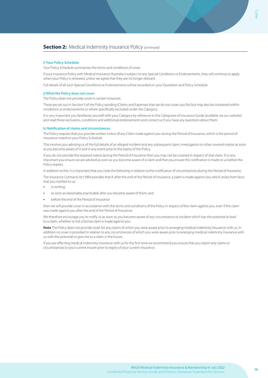### **i) Your Policy Schedule**

Your Policy Schedule summarises the terms and conditions of cover.

If your insurance Policy with Medical Insurance Australia is subject to any Special Conditions or Endorsements, they will continue to apply when your Policy is renewed, unless we agree that they are no longer relevant.

Full details of all such Special Conditions or Endorsements will be recorded on your Quotation and Policy Schedule.

### **j) What the Policy does not cover**

The Policy does not provide cover in certain instances.

These are set out in Section 5 of the Policy wording (Claims and Expenses that we do not cover you for) but may also be contained within conditions or endorsements or where specifically excluded under the Category.

It is very important you familiarise yourself with your Category by reference to the Categories of Insurance Guide (available via our website) and read these exclusions, conditions and additional endorsements and contact us if you have any questions about them.

#### **k) Notification of claims and circumstances**

The Policy requires that you provide written notice of any Claim made against you during the Period of Insurance, which is the period of insurance noted on your Policy Schedule.

This involves you advising us of the full details of an alleged incident and any subsequent claim, investigation or other covered matter as soon as you become aware of it and in any event prior to the expiry of the Policy.

If you do not provide the required notice during the Period of Insurance then you may not be covered in respect of that claim. It is very important you ensure we are advised as soon as you become aware of a claim and that you ensure this notification is made to us before the Policy expires.

In addition to this, it is important that you note the following in relation to the notification of circumstances during the Period of Insurance.

The Insurance Contracts Act 1984 provides that if, after the end of the Period of Insurance, a claim is made against you which arises from facts that you notified to us:

- **•** in writing;
- **•** as soon as reasonably practicable after you became aware of them; and
- **•** before the end of the Period of Insurance

then we will provide cover in accordance with the terms and conditions of the Policy in respect of the claim against you, even if the claim was made against you after the end of the Period of Insurance.

We therefore encourage you to notify us as soon as you become aware of any circumstance or incident which has the potential to lead to a claim, whether or not a formal claim is made against you.

**Note** The Policy does not provide cover for any claims of which you were aware prior to arranging medical indemnity insurance with us. In addition no cover is provided in relation to any circumstances of which you were aware prior to arranging medical indemnity insurance with us with the potential to give rise to a claim in the future.

If you are effecting medical indemnity insurance with us for the first time we recommend you ensure that you report any claims or circumstances to your current insurer prior to expiry of your current insurance.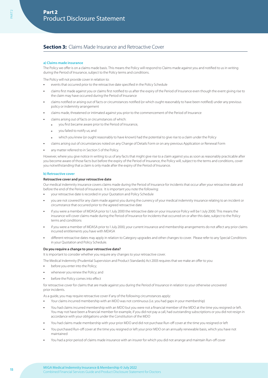# **Section 3:** Claims Made Insurance and Retroactive Cover

### **a) Claims made insurance**

The Policy we offer is on a claims made basis. This means the Policy will respond to Claims made against you and notified to us in writing during the Period of Insurance, subject to the Policy terms and conditions.

The Policy will not provide cover in relation to:

- **•** events that occurred prior to the retroactive date specified in the Policy Schedule
- **•** claims first made against you or claims first notified to us after the expiry of the Period of Insurance even though the event giving rise to the claim may have occurred during the Period of Insurance
- **•** claims notified or arising out of facts or circumstances notified (or which ought reasonably to have been notified) under any previous policy or indemnity arrangement
- **•** claims made, threatened or intimated against you prior to the commencement of the Period of Insurance
- **•** claims arising out of facts or circumstances of which:
	- **<sup>o</sup>** you first became aware prior to the Period of Insurance,
		- **<sup>o</sup>** you failed to notify us; and
	- **<sup>o</sup>** which you knew (or ought reasonably to have known) had the potential to give rise to a claim under the Policy
- **•** claims arising out of circumstances noted on any Change of Details Form or on any previous Application or Renewal Form
- **•** any matter referred to in Section 5 of the Policy.

However, where you give notice in writing to us of any facts that might give rise to a claim against you as soon as reasonably practicable after you become aware of those facts but before the expiry of the Period of Insurance, the Policy will, subject to the terms and conditions, cover you notwithstanding that a claim is only made after the expiry of the Period of Insurance.

### **b) Retroactive cover**

### **Retroactive cover and your retroactive date**

Our medical indemnity insurance covers claims made during the Period of Insurance for incidents that occur after your retroactive date and before the end of the Period of Insurance. It is important you note the following:

- **•** your retroactive date is recorded in your Quotation and Policy Schedule
- **•** you are not covered for any claim made against you during the currency of your medical indemnity insurance relating to an incident or circumstance that occurred prior to the agreed retroactive date
- **•** if you were a member of MDASA prior to 1 July 2000 the retroactive date on your insurance Policy will be 1 July 2000. This means the insurance will cover claims made during the Period of Insurance for incidents that occurred on or after this date, subject to the Policy terms and conditions
- **•** if you were a member of MDASA prior to 1 July 2000, your current insurance and membership arrangements do not affect any prior claims incurred entitlements you have with MDASA
- **•** different retroactive dates may apply in relation to Category upgrades and other changes to cover. Please refer to any Special Conditions in your Quotation and Policy Schedule.

### **Do you require a change to your retroactive date?**

It is important to consider whether you require any changes to your retroactive cover.

The Medical Indemnity (Prudential Supervision and Product Standards) Act 2003 requires that we make an offer to you:

- **•** before you enter into the Policy;
- **•** whenever you renew the Policy; and
- **•** before the Policy comes into effect

for retroactive cover for claims that are made against you during the Period of Insurance in relation to your otherwise uncovered prior incidents.

As a guide, you may require retroactive cover if any of the following circumstances apply:

- **•** Your claims incurred membership with an MDO was not continuous (i.e. you had gaps in your membership)
- **•** You had claims incurred membership with an MDO but you were not a financial member of the MDO at the time you resigned or left. You may not have been a financial member for example, if you did not pay a call, had outstanding subscriptions or you did not resign in accordance with your obligations under the Constitution of the MDO
- **•** You had claims made membership with your prior MDO and did not purchase Run-off cover at the time you resigned or left
- **•** You purchased Run-off cover at the time you resigned or left your prior MDO on an annually renewable basis, which you have not maintained
- **•** You had a prior period of claims made insurance with an insurer for which you did not arrange and maintain Run-off cover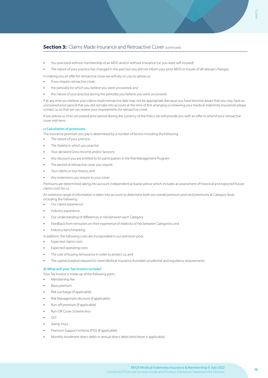# **Section 3:** Claims Made Insurance and Retroactive Cover *(continued)*

- **•** You practised without membership of an MDO and/or without insurance (i.e. you were self-insured)
- **•** The nature of your practice has changed in the past but you did not inform your prior MDO or insurer of all relevant changes.

In making you an offer for retroactive cover we will rely on you to advise us:

- **•** if you require retroactive cover;
- **•** the period(s) for which you believe you were uncovered; and
- **•** the nature of your practice during the period(s) you believe you were uncovered.

If at any time you believe your claims made retroactive date may not be appropriate (because you have become aware that you may have an uncovered prior period that you did not take into account at the time of first arranging or renewing your medical indemnity insurance) please contact us so that we can review your requirements for retroactive cover.

If you advise us of an uncovered prior period during the currency of the Policy we will provide you with an offer to amend your retroactive cover mid-term.

### **c) Calculation of premiums**

The insurance premium you pay is determined by a number of factors including the following:

- **•** The nature of your practice
- **•** The State(s) in which you practise
- **•** Your declared Gross Income and/or Sessions
- **•** Any discount you are entitled to for participation in the Risk Management Program
- **•** The period of retroactive cover you require
- **•** Your claims or loss history; and
- **•** Any extensions you require to your cover.

Premiums are determined taking into account independent actuarial advice which includes an assessment of historical and expected future claims costs for us.

An extensive range of information is taken into account to determine both our overall premium pool and premiums at Category level, including the following:

- **•** Our claims experience
- **•** Industry experience
- **•** Our understanding of differences in risk between each Category
- **•** Feedback from reinsurers on their experience of relativity of risk between Categories; and
- **•** Industry benchmarking.

In addition, the following costs are incorporated in our premium pool:

- **•** Expected claims costs
- **•** Expected operating costs
- **•** The cost of buying reinsurance in order to protect us; and
- **•** The capital (surplus) required to meet Medical Insurance Australia's prudential and regulatory requirements.

### **d) What will your Tax Invoice include?**

Your Tax Invoice is made up of the following parts:

- **•** Membership fee
- **•** Base premium
- **•** Risk surcharge (if applicable)
- **•** Risk Management discount (if applicable)
- **•** Run-off premium (if applicable)
- **•** Run-Off Cover Scheme levy
- **•** GST
- **•** Stamp Duty
- **•** Premium Support Scheme (PSS) (if applicable)
- **•** Monthly instalment direct debit or annual direct debit (whichever is applicable).

PART 2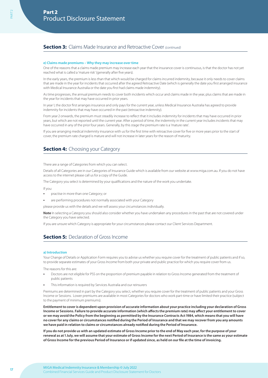# **Section 3:** Claims Made Insurance and Retroactive Cover *(continued)*

### **e) Claims made premiums – Why they may increase over time**

One of the reasons that a claims made premium may increase each year that the insurance cover is continuous, is that the doctor has not yet reached what is called a 'mature risk' (generally after five years).

In the early years, the premium is less than that which would be charged for claims incurred indemnity, because it only needs to cover claims that are made in the year for incidents that occurred after the agreed Retroactive Date (which is generally the date you first arranged insurance with Medical Insurance Australia or the date you first had claims made indemnity).

As time progresses, the annual premium needs to cover both incidents which occur and claims made in the year, plus claims that are made in the year for incidents that may have occurred in prior years.

In year 1, the doctor first arranges insurance and only pays for the current year, unless Medical Insurance Australia has agreed to provide indemnity for incidents that may have occurred in the past (retroactive indemnity).

From year 2 onwards, the premium must steadily increase to reflect that it includes indemnity for incidents that may have occurred in prior years, but which are not reported until the current year. After a period of time, the indemnity in the current year includes incidents that may have occurred in any of the prior four years. Generally, by this stage the premium rate is a 'mature rate'.

If you are arranging medical indemnity insurance with us for the first time with retroactive cover for five or more years prior to the start of cover, the premium rate charged is mature and will not increase in later years for the reason of maturity.

# **Section 4: Choosing your Category**

There are a range of Categories from which you can select.

Details of all Categories are in our Categories of Insurance Guide which is available from our website at www.miga.com.au. If you do not have access to the internet please call us for a copy of the Guide.

The Category you select is determined by your qualifications and the nature of the work you undertake.

If you:

- **•** practise in more than one Category; or
- **•** are performing procedures not normally associated with your Category

please provide us with the details and we will assess your circumstances individually.

**Note** In selecting a Category you should also consider whether you have undertaken any procedures in the past that are not covered under the Category you have selected.

If you are unsure which Category is appropriate for your circumstances please contact our Client Services Department.

# **Section 5:** Declaration of Gross Income

### **a) Introduction**

Your Change of Details or Application Form requires you to advise us whether you require cover for the treatment of public patients and if so, to provide separate estimates of your Gross Income from both your private and public practice for which you require cover from us.

The reasons for this are:

- **•** Doctors are not eligible for PSS on the proportion of premium payable in relation to Gross Income generated from the treatment of public patients
- **•** This information is required by Services Australia and our reinsurers

Premiums are determined in part by the Category you select, whether you require cover for the treatment of public patients and your Gross Income or Sessions. Lower premiums are available in most Categories for doctors who work part-time or have limited their practice (subject to the payment of minimum premiums).

**Entitlement to cover is dependent upon provision of accurate information about your practice including your declaration of Gross Income or Sessions. Failure to provide accurate information (which affects the premium rate) may affect your entitlement to cover or we may avoid the Policy from the beginning as permitted by the Insurance Contracts Act 1984, which means that you will have no cover for any claims or circumstances notified during the Period of Insurance and that we may recover from you any amounts we have paid in relation to claims or circumstances already notified during the Period of Insurance.**

**If you do not provide us with an updated estimate of Gross Income prior to the end of May each year, for the purpose of your renewal as at 1 July, we will assume that your estimate of Gross Income for the next Period of Insurance is the same as your estimate of Gross Income for the previous Period of Insurance or if updated since, as held on our file at the time of invoicing.**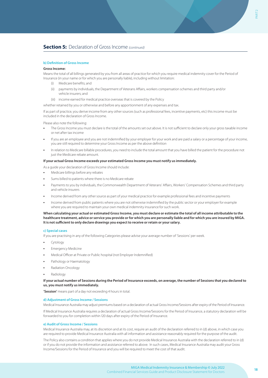# **Section 5:** Declaration of Gross Income *(continued)*

### **b) Definition of Gross Income**

#### **Gross Income:**

Means the total of all billings generated by you from all areas of practice for which you require medical indemnity cover for the Period of Insurance (in your name or for which you are personally liable), including without limitation:

- (i) Medicare benefits; and
- (ii) payments by individuals, the Department of Veterans Affairs, workers compensation schemes and third party and/or vehicle insurers; and
- (iii) income earned for medical practice overseas that is covered by the Policy

whether retained by you or otherwise and before any apportionment of any expenses and tax.

If as part of practice, you derive income from any other sources (such as professional fees, incentive payments, etc) this income must be included in the declaration of Gross Income.

Please also note the following:

- **•** The Gross Income you must declare is the total of the amounts set out above. It is not sufficient to declare only your gross taxable income or net after tax income
- **•** If you are an employee and you are not indemnified by your employer for your work and are paid a salary or a percentage of your income, you are still required to determine your Gross Income as per the above definition
- **•** In relation to Medicare billable procedures, you need to include the total amount that you have billed the patient for the procedure not just the Medicare rebate amount.

### **If your actual Gross Income exceeds your estimated Gross Income you must notify us immediately.**

As a guide your declaration of Gross Income should include:

- **•** Medicare billings before any rebates
- **•** Sums billed to patients where there is no Medicare rebate
- **•** Payments to you by individuals, the Commonwealth Department of Veterans' Affairs, Workers' Compensation Schemes and third party and vehicle insurers
- **•** Income derived from any other source as part of your medical practice for example professional fees and incentive payments
- **•** Income derived from public patients where you are not otherwise indemnified by the public sector or your employer for example where you are required to maintain your own medical indemnity insurance for such work.

**When calculating your actual or estimated Gross Income, you must declare or estimate the total of all income attributable to the healthcare treatment, advice or service you provide or for which you are personally liable and for which you are insured by MIGA. It is not sufficient to only declare drawings you expect to receive or retain or your salary.**

#### **c) Special cases**

If you are practising in any of the following Categories please advise your average number of 'Sessions' per week.

- **•** Cytology
- **•** Emergency Medicine
- **•** Medical Officer at Private or Public hospital (not Employer Indemnified)
- **•** Pathology or Haematology
- **•** Radiation Oncology
- **•** Radiology

### **If your actual number of Sessions during the Period of Insurance exceeds, on average, the number of Sessions that you declared to us, you must notify us immediately.**

**'Session'** means part of a day not exceeding 4 hours in total.

#### **d) Adjustment of Gross Income / Sessions**

Medical Insurance Australia may adjust premiums based on a declaration of actual Gross Income/Sessions after expiry of the Period of Insurance.

If Medical Insurance Australia requires a declaration of actual Gross Income/Sessions for the Period of Insurance, a statutory declaration will be forwarded to you for completion within 120 days after expiry of the Period of Insurance.

### **e) Audit of Gross Income / Sessions**

Medical Insurance Australia may, at its discretion and at its cost, require an audit of the declaration referred to in (d) above, in which case you are required to provide Medical Insurance Australia with all information and assistance reasonably required for the purpose of the audit.

The Policy also contains a condition that applies where you do not provide Medical Insurance Australia with the declaration referred to in (d) or if you do not provide the information and assistance referred to above. In such cases, Medical Insurance Australia may audit your Gross Income/Sessions for the Period of Insurance and you will be required to meet the cost of that audit.

PART 2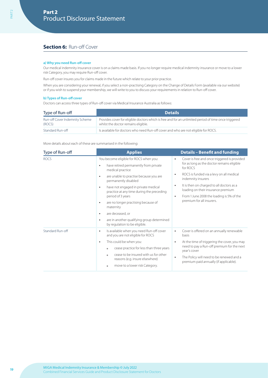# **Section 6: Run-off Cover**

### **a) Why you need Run-off cover**

Our medical indemnity insurance cover is on a claims made basis. If you no longer require medical indemnity insurance or move to a lower risk Category, you may require Run-off cover.

Run-off cover insures you for claims made in the future which relate to your prior practice.

When you are considering your renewal, if you select a non-practising Category on the Change of Details Form (available via our website) or if you wish to suspend your membership, we will write to you to discuss your requirements in relation to Run-off cover.

### **b) Types of Run-off cover**

Doctors can access three types of Run-off cover via Medical Insurance Australia as follows:

| Type of Run-off                          | <b>Details</b>                                                                                                                              |
|------------------------------------------|---------------------------------------------------------------------------------------------------------------------------------------------|
| Run-off Cover Indemnity Scheme<br>(ROCS) | Provides cover for eligible doctors which is free and for an unlimited period of time once triggered<br>whilst the doctor remains eligible. |
| Standard Run-off                         | Is available for doctors who need Run-off cover and who are not eligible for ROCS.                                                          |

More details about each of these are summarised in the following:

| Type of Run-off  | <b>Applies</b>                                                                                                                                                                                                                                                                                                                                                                                                                                                                                              | <b>Details - Benefit and funding</b>                                                                                                                                                                                                                                                                                                                            |  |
|------------------|-------------------------------------------------------------------------------------------------------------------------------------------------------------------------------------------------------------------------------------------------------------------------------------------------------------------------------------------------------------------------------------------------------------------------------------------------------------------------------------------------------------|-----------------------------------------------------------------------------------------------------------------------------------------------------------------------------------------------------------------------------------------------------------------------------------------------------------------------------------------------------------------|--|
| <b>ROCS</b>      | You become eligible for ROCS when you:<br>have retired permanently from private<br>$\bullet$<br>medical practice<br>are unable to practise because you are<br>$\bullet$<br>permanently disabled<br>have not engaged in private medical<br>$\bullet$<br>practice at any time during the preceding<br>period of 3 years<br>are no longer practising because of<br>$\bullet$<br>maternity<br>are deceased, or<br>$\bullet$<br>are in another qualifying group determined<br>٠<br>by regulation to be eligible. | Cover is free and once triggered is provided<br>$\bullet$<br>for as long as the doctor remains eligible<br>for ROCS<br>ROCS is funded via a levy on all medical<br>indemnity insurers<br>It is then on charged to all doctors as a<br>loading on their insurance premium<br>From 1 June 2008 the loading is 5% of the<br>$\bullet$<br>premium for all insurers. |  |
| Standard Run-off | Is available when you need Run-off cover<br>$\bullet$<br>and you are not eligible for ROCS<br>This could be when you:<br>$\bullet$<br>cease practice for less than three years<br>$\circ$<br>cease to be insured with us for other<br>$\Omega$<br>reasons (e.g. insure elsewhere)<br>move to a lower risk Category.<br>$\circ$                                                                                                                                                                              | Cover is offered on an annually renewable<br>$\bullet$<br>basis<br>At the time of triggering the cover, you may<br>$\bullet$<br>need to pay a Run-off premium for the next<br>year's cover<br>The Policy will need to be renewed and a<br>premium paid annually (if applicable).                                                                                |  |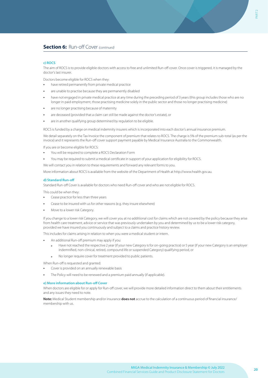# **Section 6:** Run-off Cover *(continued)*

### **c) ROCS**

The aim of ROCS is to provide eligible doctors with access to free and unlimited Run-off cover. Once cover is triggered, it is managed by the doctor's last insurer.

Doctors become eligible for ROCS when they:

- **•** have retired permanently from private medical practice
- **•** are unable to practise because they are permanently disabled
- **•** have not engaged in private medical practice at any time during the preceding period of 3 years (this group includes those who are no longer in paid employment, those practising medicine solely in the public sector and those no longer practising medicine)
- **•** are no longer practising because of maternity
- **•** are deceased (provided that a claim can still be made against the doctor's estate), or
- **•** are in another qualifying group determined by regulation to be eligible.

ROCS is funded by a charge on medical indemnity insurers which is incorporated into each doctor's annual insurance premium.

We detail separately on the Tax Invoice the component of premium that relates to ROCS. The charge is 5% of the premium sub-total (as per the invoice) and it represents the Run-off cover support payment payable by Medical Insurance Australia to the Commonwealth.

If you are or become eligible for ROCS:

- **•** You will be required to complete a ROCS Declaration Form
- **•** You may be required to submit a medical certificate in support of your application for eligibility for ROCS.

We will contact you in relation to these requirements and forward any relevant forms to you.

More information about ROCS is available from the website of the Department of Health at http://www.health.gov.au.

### **d) Standard Run-off**

Standard Run-off Cover is available for doctors who need Run-off cover and who are not eligible for ROCS.

This could be when they:

- **•** Cease practice for less than three years
- **•** Cease to be insured with us for other reasons (e.g. they insure elsewhere)
- **•** Move to a lower risk Category.

If you change to a lower risk Category, we will cover you at no additional cost for claims which are not covered by the policy because they arise from health care treatment, advice or service that was previously undertaken by you and determined by us to be a lower risk category, provided we have insured you continuously and subject to a claims and practice history review.

This includes for claims arising in relation to when you were a medical student or intern.

- **•** An additional Run-off premium may apply if you:
	- **<sup>o</sup>** Have not reached the respective 2 year (if your new Category is for on-going practice) or 5 year (if your new Category is an employer indemnified, non-clinical, retired, compound life or suspended Category) qualifying period, or
	- **<sup>o</sup>** No longer require cover for treatment provided to public patients.

When Run-off is requested and granted:

- **•** Cover is provided on an annually renewable basis
- **•** The Policy will need to be renewed and a premium paid annually (if applicable).

### **e) More information about Run-off Cover**

When doctors are eligible for or apply for Run-off cover, we will provide more detailed information direct to them about their entitlements and any issues they need to note.

**Note:** Medical Student membership and/or insurance **does not** accrue to the calculation of a continuous period of financial insurance/ membership with us.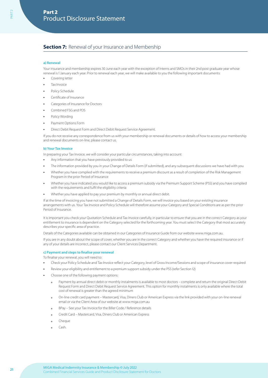# **Section 7:** Renewal of your Insurance and Membership

### **a) Renewal**

Your insurance and membership expires 30 June each year with the exception of Interns and SMOs in their 2nd post graduate year whose renewal is 1 January each year. Prior to renewal each year, we will make available to you the following important documents:

- **•** Covering letter
- **•** Tax Invoice
- **•** Policy Schedule
- **•** Certificate of Insurance
- **•** Categories of Insurance for Doctors
- **•** Combined FSG and PDS
- **•** Policy Wording
- **•** Payment Options Form
- **•** Direct Debit Request Form and Direct Debit Request Service Agreement.

If you do not receive any correspondence from us with your membership or renewal documents or details of how to access your membership and renewal documents on-line, please contact us.

#### **b) Your Tax Invoice**

In preparing your Tax Invoice, we will consider your particular circumstances, taking into account:

- **•** Any information that you have previously provided to us
- **•** The information provided by you in your Change of Details Form (if submitted), and any subsequent discussions we have had with you
- **•** Whether you have complied with the requirements to receive a premium discount as a result of completion of the Risk Management Program in the prior Period of Insurance
- **•** Whether you have indicated you would like to access a premium subsidy via the Premium Support Scheme (PSS) and you have complied with the requirements and fulfil the eligibility criteria
- **•** Whether you have applied to pay your premium by monthly or annual direct debit.

If at the time of invoicing you have not submitted a Change of Details Form, we will invoice you based on your existing insurance arrangements with us. Your Tax Invoice and Policy Schedule will therefore assume your Category and Special Conditions are as per the prior Period of Insurance.

It is important you check your Quotation Schedule and Tax Invoice carefully, in particular to ensure that you are in the correct Category as your entitlement to insurance is dependent on the Category selected for the forthcoming year. You must select the Category that most accurately describes your specific area of practice.

Details of the Categories available can be obtained in our Categories of Insurance Guide from our website www.miga.com.au.

If you are in any doubt about the scope of cover, whether you are in the correct Category and whether you have the required insurance or if any of your details are incorrect, please contact our Client Services Department.

### **c) Payment and steps to finalise your renewal**

To finalise your renewal, you will need to:

- **•** Check your Policy Schedule and Tax Invoice reflect your Category, level of Gross Income/Sessions and scope of insurance cover required
- **•** Review your eligibility and entitlement to a premium support subsidy under the PSS (refer Section 12)
- **•** Choose one of the following payment options:
	- **<sup>o</sup>** Payment by annual direct debit or monthly instalments is available to most doctors complete and return the original Direct Debit Request Form and Direct Debit Request Service Agreement. This option for monthly instalments is only available where the total cost of renewal is greater than the agreed minimum
	- **<sup>o</sup>** On-line credit card payment Mastercard, Visa, Diners Club or American Express via the link provided with your on-line renewal email or via the Client Area of our website at www.miga.com.au
	- **<sup>o</sup>** BPay See your Tax Invoice for the Biller Code / Reference details
	- **<sup>o</sup>** Credit Card Mastercard, Visa, Diners Club or American Express
	- **<sup>o</sup>** Cheque
	- **<sup>o</sup>** Cash.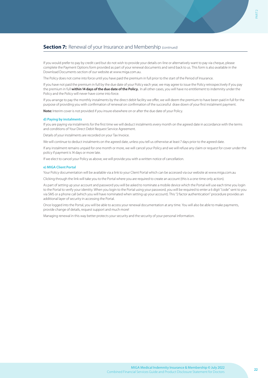# **Section 7:** Renewal of your Insurance and Membership *(continued)*

If you would prefer to pay by credit card but do not wish to provide your details on-line or alternatively want to pay via cheque, please complete the Payment Options form provided as part of your renewal documents and send back to us. This form is also available in the Download Documents section of our website at www.miga.com.au.

The Policy does not come into force until you have paid the premium in full prior to the start of the Period of Insurance.

If you have not paid the premium in full by the due date of your Policy each year, we may agree to issue the Policy retrospectively if you pay the premium in full **within 14 days of the due date of the Policy.** In all other cases, you will have no entitlement to indemnity under the Policy and the Policy will never have come into force.

If you arrange to pay the monthly instalments by the direct debit facility we offer, we will deem the premium to have been paid in full for the purpose of providing you with confirmation of renewal on confirmation of the successful draw down of your first instalment payment.

**Note:** Interim cover is not provided if you insure elsewhere on or after the due date of your Policy.

#### **d) Paying by instalments**

If you are paying via instalments for the first time we will deduct instalments every month on the agreed date in accordance with the terms and conditions of Your Direct Debit Request Service Agreement.

Details of your instalments are recorded on your Tax Invoice.

We will continue to deduct instalments on the agreed date, unless you tell us otherwise at least 7 days prior to the agreed date.

If any instalment remains unpaid for one month or more, we will cancel your Policy and we will refuse any claim or request for cover under the policy if payment is 14 days or more late.

If we elect to cancel your Policy as above, we will provide you with a written notice of cancellation.

### **e) MIGA Client Portal**

Your Policy documentation will be available via a link to your Client Portal which can be accessed via our website at www.miga.com.au

Clicking through the link will take you to the Portal where you are required to create an account (this is a one-time only action).

As part of setting up your account and password you will be asked to nominate a mobile device which the Portal will use each time you login to the Portal to verify your identity. When you login to the Portal using your password, you will be required to enter a 6 digit "code" sent to you via SMS or a phone call (which you will have nominated when setting up your account). This "2 factor authentication" procedure provides an additional layer of security in accessing the Portal.

Once logged into the Portal, you will be able to access your renewal documentation at any time. You will also be able to make payments, provide change of details, request support and much more!

Managing renewal in this way better protects your security and the security of your personal information.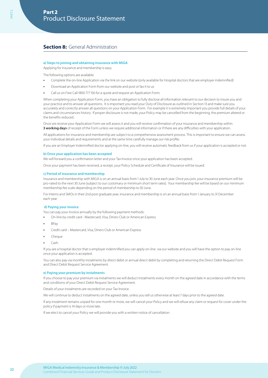# **Section 8: General Administration**

### **a) Steps to joining and obtaining insurance with MIGA**

Applying for insurance and membership is easy.

The following options are available:

- **•** Complete the on-line Application via the link on our website (only available for Hospital doctors that are employer indemnified)
- **•** Download an Application Form from our website and post or fax it to us
- **•** Call us on Free Call 1800 777 156 for a quote and request an Application Form.

When completing your Application Form, you have an obligation to fully disclose all information relevant to our decision to insure you and your practice and to answer all questions. It is important you read your Duty of Disclosure as outlined in Section 13 and make sure you accurately and correctly answer all questions on your Application Form. For example it is extremely important you provide full details of your claims and circumstances history. If proper disclosure is not made, your Policy may be cancelled from the beginning, the premium altered or the benefits reduced.

Once we receive your Application Form we will assess it and you will receive confirmation of your insurance and membership within **3 working days** of receipt of the Form unless we require additional information or if there are any difficulties with your application.

All applications for insurance and membership are subject to a comprehensive assessment process. This is important to ensure we can assess your individual details and requirements and at the same time carefully manage our risk profile.

If you are an Employer Indemnified doctor applying on-line, you will receive automatic feedback from us if your application is accepted or not.

#### **b) Once your application has been accepted**

We will forward you a confirmation letter and your Tax Invoice once your application has been accepted.

Once your payment has been received, a receipt, your Policy Schedule and Certificate of Insurance will be issued.

### **c) Period of insurance and membership**

Insurance and membership with MIGA is on an annual basis from 1 July to 30 June each year. Once you join, your insurance premium will be pro-rated to the next 30 June (subject to our customary or minimum short term rates). Your membership fee will be based on our minimum membership fee scale depending on the period of membership to 30 June.

For Interns and SMOs in their 2nd post graduate year, insurance and membership is on an annual basis from 1 January to 31 December each year.

#### **d) Paying your invoice**

You can pay your invoice annually by the following payment methods:

- **•** On-line by credit card Mastercard, Visa, Diners Club or American Express
- **•** BPay
- **•** Credit card Mastercard, Visa, Diners Club or American Express
- **•** Cheque
- **•** Cash.

If you are a hospital doctor that is employer indemnified you can apply on-line via our website and you will have the option to pay on-line once your application is accepted.

You can also pay via monthly instalments by direct debit or annual direct debit by completing and returning the Direct Debit Request Form and Direct Debit Request Service Agreement.

### **e) Paying your premium by instalments**

If you choose to pay your premium via instalments we will deduct instalments every month on the agreed date in accordance with the terms and conditions of your Direct Debit Request Service Agreement.

Details of your instalments are recorded on your Tax Invoice.

We will continue to deduct instalments on the agreed date, unless you tell us otherwise at least 7 days prior to the agreed date.

If any instalment remains unpaid for one month or more, we will cancel your Policy and we will refuse any claim or request for cover under the policy if payment is 14 days or more late.

If we elect to cancel your Policy we will provide you with a written notice of cancellation.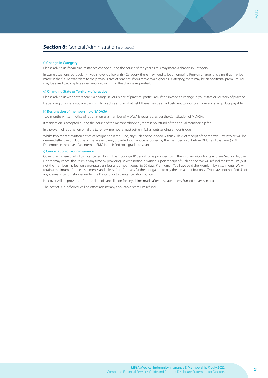### **f) Change in Category**

Please advise us if your circumstances change during the course of the year as this may mean a change in Category.

In some situations, particularly if you move to a lower risk Category, there may need to be an ongoing Run-off charge for claims that may be made in the future that relate to the previous area of practice. If you move to a higher risk Category, there may be an additional premium. You may be asked to complete a declaration confirming the change requested.

### **g) Changing State or Territory of practice**

Please advise us whenever there is a change in your place of practice, particularly if this involves a change in your State or Territory of practice.

Depending on where you are planning to practise and in what field, there may be an adjustment to your premium and stamp duty payable.

### **h) Resignation of membership of MDASA**

Two months written notice of resignation as a member of MDASA is required, as per the Constitution of MDASA.

If resignation is accepted during the course of the membership year, there is no refund of the annual membership fee.

In the event of resignation or failure to renew, members must settle in full all outstanding amounts due.

Whilst two months written notice of resignation is required, any such notice lodged within 21 days of receipt of the renewal Tax Invoice will be deemed effective on 30 June of the relevant year, provided such notice is lodged by the member on or before 30 June of that year (or 31 December in the case of an Intern or SMO in their 2nd post graduate year).

### **i) Cancellation of your insurance**

Other than where the Policy is cancelled during the 'cooling-off' period or as provided for in the Insurance Contracts Act (see Section 14), the Doctor may cancel the Policy at any time by providing Us with notice in writing. Upon receipt of such notice, We will refund the Premium (but not the membership fee) on a pro-rata basis less any amount equal to 90 days' Premium. If You have paid the Premium by instalments, We will retain a minimum of three instalments and release You from any further obligation to pay the remainder but only if You have not notified Us of any claims or circumstances under the Policy prior to the cancellation notice.

No cover will be provided after the date of cancellation for any claims made after this date unless Run-off cover is in place.

The cost of Run-off cover will be offset against any applicable premium refund.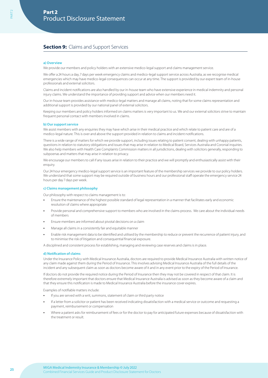# **Section 9: Claims and Support Services**

### **a) Overview**

We provide our members and policy holders with an extensive medico-legal support and claims management service.

We offer a 24 hours a day, 7 days per week emergency claims and medico-legal support service across Australia, as we recognise medical emergencies which may have medico-legal consequences can occur at any time. The support is provided by our expert team of in-house professionals and external solicitors.

Claims and incident notifications are also handled by our in-house team who have extensive experience in medical indemnity and personal injury claims. We understand the importance of providing support and advice when our members need it.

Our in-house team provides assistance with medico-legal matters and manage all claims, noting that for some claims representation and additional support is provided by our national panel of external solicitors.

Keeping our members and policy holders informed on claims matters is very important to us. We and our external solicitors strive to maintain frequent personal contact with members involved in claims.

### **b) Our support service**

We assist members with any enquiries they may have which arise in their medical practice and which relate to patient care and are of a medico-legal nature. This is over and above the support provided in relation to claims and incident notifications.

There is a wide range of matters for which we provide support, including issues relating to patient consent, dealing with unhappy patients, questions in relation to statutory obligations and issues that may arise in relation to Medical Board, Services Australia and Coronial inquiries. We also help members with Health Care Complaints Commission matters in all jurisdictions, dealing with solicitors generally, responding to subpoenas and matters that may arise in relation to privacy.

We encourage our members to call if any issues arise in relation to their practice and we will promptly and enthusiastically assist with their enquiry.

Our 24 hour emergency medico-legal support service is an important feature of the membership services we provide to our policy holders. We understand that some support may be required outside of business hours and our professional staff operate the emergency service 24 hours per day 7 days per week.

### **c) Claims management philosophy**

Our philosophy with respect to claims management is to:

- **•** Ensure the maintenance of the highest possible standard of legal representation in a manner that facilitates early and economic resolution of claims where appropriate
- **•** Provide personal and comprehensive support to members who are involved in the claims process. We care about the individual needs of members
- **•** Ensure members are informed about pivotal decisions on a claim
- **•** Manage all claims in a consistently fair and equitable manner
- **•** Enable risk management data to be identified and utilised by the membership to reduce or prevent the recurrence of patient injury, and to minimise the risk of litigation and consequential financial exposure.

A disciplined and consistent process for establishing, managing and reviewing case reserves and claims is in place.

#### **d) Notification of claims**

Under the Insurance Policy with Medical Insurance Australia, doctors are required to provide Medical Insurance Australia with written notice of any claim made against them during the Period of Insurance. This involves advising Medical Insurance Australia of the full details of the incident and any subsequent claim as soon as doctors become aware of it and in any event prior to the expiry of the Period of Insurance.

If doctors do not provide the required notice during the Period of Insurance then they may not be covered in respect of that claim. It is therefore extremely important that doctors ensure that Medical Insurance Australia is advised as soon as they become aware of a claim and that they ensure this notification is made to Medical Insurance Australia before the insurance cover expires.

Examples of notifiable matters include:

- **•** If you are served with a writ, summons, statement of claim or third party notice
- **•** If a letter from a solicitor or patient has been received indicating dissatisfaction with a medical service or outcome and requesting a payment, reimbursement or compensation
- **•** Where a patient asks for reimbursement of fees or for the doctor to pay for anticipated future expenses because of dissatisfaction with the treatment or result.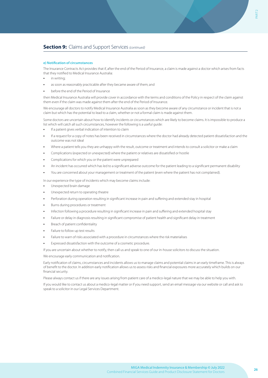### **e) Notification of circumstances**

The Insurance Contracts Act provides that if, after the end of the Period of Insurance, a claim is made against a doctor which arises from facts that they notified to Medical Insurance Australia:

- **•** in writing;
- **•** as soon as reasonably practicable after they became aware of them; and
- **•** before the end of the Period of Insurance

then Medical Insurance Australia will provide cover in accordance with the terms and conditions of the Policy in respect of the claim against them even if the claim was made against them after the end of the Period of Insurance.

We encourage all doctors to notify Medical Insurance Australia as soon as they become aware of any circumstance or incident that is not a claim but which has the potential to lead to a claim, whether or not a formal claim is made against them.

Some doctors are uncertain about how to identify incidents or circumstances which are likely to become claims. It is impossible to produce a list which will catch all such circumstances, however the following is a useful guide:

- **•** If a patient gives verbal indication of intention to claim
- **•** If a request for a copy of notes has been received in circumstances where the doctor had already detected patient dissatisfaction and the outcome was not ideal
- **•** Where a patient tells you they are unhappy with the result, outcome or treatment and intends to consult a solicitor or make a claim
- **•** Complications (expected or unexpected) where the patient or relatives are dissatisfied or hostile
- **•** Complications for which you or the patient were unprepared
- **•** An incident has occurred which has led to a significant adverse outcome for the patient leading to a significant permanent disability
- **•** You are concerned about your management or treatment of the patient (even where the patient has not complained).

In our experience the type of incidents which may become claims include:

- **•** Unexpected brain damage
- **•** Unexpected return to operating theatre
- **•** Perforation during operation resulting in significant increase in pain and suffering and extended stay in hospital
- **•** Burns during procedures or treatment
- **•** Infection following a procedure resulting in significant increase in pain and suffering and extended hospital stay
- **•** Failure or delay in diagnosis resulting in significant compromise of patient health and significant delay in treatment
- **•** Breach of patient confidentiality
- **•** Failure to follow up test results
- **•** Failure to warn of risks associated with a procedure in circumstances where the risk materialises
- **•** Expressed dissatisfaction with the outcome of a cosmetic procedure.

If you are uncertain about whether to notify, then call us and speak to one of our in-house solicitors to discuss the situation.

We encourage early communication and notification.

Early notification of claims, circumstances and incidents allows us to manage claims and potential claims in an early timeframe. This is always of benefit to the doctor. In addition early notification allows us to assess risks and financial exposures more accurately which builds on our financial security.

Please always contact us if there are any issues arising from patient care of a medico-legal nature that we may be able to help you with.

If you would like to contact us about a medico-legal matter or if you need support, send an email message via our website or call and ask to speak to a solicitor in our Legal Services Department.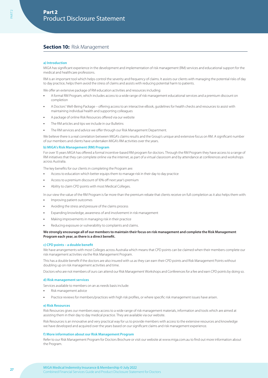# **Section 10: Risk Management**

### **a) Introduction**

PART 2

MIGA has significant experience in the development and implementation of risk management (RM) services and educational support for the medical and healthcare professions.

RM is an important tool which helps control the severity and frequency of claims. It assists our clients with managing the potential risks of day to day practice, helps them avoid the stress of claims and assists with reducing potential harm to patients.

We offer an extensive package of RM education activities and resources including:

- **•** A formal RM Program, which includes access to a wide range of risk management educational services and a premium discount on completion
- **•** A Doctors' Well-Being Package offering access to an interactive eBook, guidelines for health checks and resources to assist with maintaining individual health and supporting colleagues
- **•** A package of online Risk Resources offered via our website
- **•** The RM articles and tips we include in our Bulletins
- **•** The RM services and advice we offer through our Risk Management Department.

We believe there is a real correlation between MIGA's claims results and the Group's unique and extensive focus on RM. A significant number of our members and clients have undertaken MIGA's RM activities over the years.

### **b) MIGA's Risk Management (RM) Program**

For over 15 years MIGA has offered a formal incentive-based RM program for doctors. Through the RM Program they have access to a range of RM initiatives that they can complete online via the internet, as part of a virtual classroom and by attendance at conferences and workshops across Australia.

The key benefits for our clients in completing the Program are:

- **•** Access to education which better equips them to manage risk in their day to day practice
- **•** Access to a premium discount of 10% off next year's premium
- **•** Ability to claim CPD points with most Medical Colleges.

In our view the value of the RM Program is far more than the premium rebate that clients receive on full completion as it also helps them with:

- **•** Improving patient outcomes
- **•** Avoiding the stress and pressure of the claims process
- **•** Expanding knowledge, awareness of and involvement in risk management
- **•** Making improvements in managing risk in their practice
- **•** Reducing exposure or vulnerability to complaints and claims.

### **We strongly encourage all of our members to maintain their focus on risk management and complete the Risk Management Program each year, as there is a direct benefit.**

#### **c) CPD points – a double benefit**

We have arrangements with most Colleges across Australia which means that CPD points can be claimed when their members complete our risk management activities via the Risk Management Program.

This has a double benefit if the doctors are also insured with us as they can earn their CPD points and Risk Management Points without doubling up on risk management activities and time.

Doctors who are not members of ours can attend our Risk Management Workshops and Conferences for a fee and earn CPD points by doing so.

### **d) Risk management services**

Services available to members on an as needs basis include:

- **•** Risk management advice
- **•** Practice reviews for members/practices with high risk profiles, or where specific risk management issues have arisen.

#### **e) Risk Resources**

Risk Resources gives our members easy access to a wide range of risk management materials, information and tools which are aimed at assisting them in their day to day medical practice. They are available via our website.

Risk Resources is an innovative and very practical way for us to provide members with access to the extensive resources and knowledge we have developed and acquired over the years based on our significant claims and risk management experience.

### **f) More information about our Risk Management Program**

Refer to our Risk Management Program for Doctors Brochure or visit our website at www.miga.com.au to find out more information about the Program.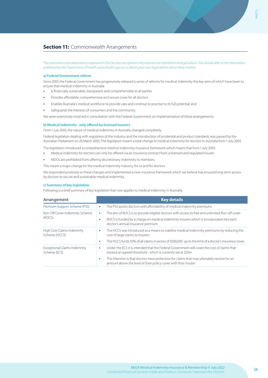# **Section 11: Commonwealth Arrangements**

*The comments and observations expressed in this Section are opinion only and are not intended to be legal advice. You should refer to the information published by the Department of Health: www.health.gov.au or obtain your own legal advice about these matters*

### **a) Federal Government reform**

Since 2003, the Federal Government has progressively released a series of reforms for medical indemnity the key aims of which have been to ensure that medical indemnity in Australia:

- **•** Is financially sustainable, transparent and comprehensible to all parties
- **•** Provides affordable, comprehensive and secure cover for all doctors
- **•** Enables Australia's medical workforce to provide care and continue to practise to its full potential; and
- **•** Safeguards the interests of consumers and the community.

We were extensively involved in consultation with the Federal Government on implementation of these arrangements.

### **b) Medical indemnity - only offered by licensed insurers**

From 1 July 2003, the nature of medical indemnity in Australia changed completely.

Federal legislation dealing with regulation of the industry and the introduction of prudential and product standards was passed by the Australian Parliament on 26 March 2003. The legislation meant a total change to medical indemnity for doctors in Australia from 1 July 2003.

The legislation introduced a comprehensive medical indemnity insurance framework which meant that from 1 July 2003:

- **•** Medical indemnity for doctors can only be offered via an insurance contract from a licensed and regulated insurer
- **•** MDOs are prohibited from offering discretionary indemnity to members.

This meant a major change for the medical indemnity industry, for us and for doctors.

We responded positively to these changes and implemented a new insurance framework which we believe has ensured long-term access by doctors to secure and sustainable medical indemnity.

### **c) Summary of key legislation**

Following is a brief summary of key legislation that now applies to medical indemnity in Australia.

| Arrangement                                         | <b>Key details</b>                                                                                                                                                       |
|-----------------------------------------------------|--------------------------------------------------------------------------------------------------------------------------------------------------------------------------|
| Premium Support Scheme (PSS)                        | The PSS assists doctors with affordability of medical indemnity premiums<br>$\bullet$                                                                                    |
| Run-Off Cover Indemnity Scheme                      | The aim of ROCS is to provide eligible doctors with access to free and unlimited Run-off cover                                                                           |
| (ROCS)                                              | ROCS is funded by a charge on medical indemnity insurers which is incorporated into each<br>doctor's annual insurance premium                                            |
| <b>High Cost Claims Indemnity</b><br>Scheme (HCCS)  | The HCCS was introduced as a means to stabilise medical indemnity premiums by reducing the<br>٠<br>cost of large claims to insurers                                      |
|                                                     | The HCCS funds 50% of all claims in excess of \$500,000 up to the limit of a doctor's insurance cover.<br>٠                                                              |
| <b>Exceptional Claims Indemnity</b><br>Scheme (ECS) | Under the ECS it is intended that the Federal Government will cover the cost of claims that<br>$\bullet$<br>exceed an agreed threshold - which is currently set at \$20m |
|                                                     | The intention is that doctors have protection for claims that may ultimately resolve for an<br>٠<br>amount above the level of their policy cover with their insurer      |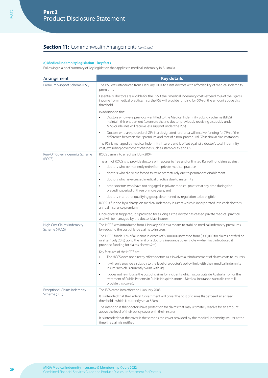# **Section 11:** Commonwealth Arrangements *(continued)*

### **d) Medical indemnity legislation – key facts**

Following is a brief summary of key legislation that applies to medical indemnity in Australia.

| Arrangement                                 | <b>Key details</b>                                                                                                                                                                                                                                           |  |  |
|---------------------------------------------|--------------------------------------------------------------------------------------------------------------------------------------------------------------------------------------------------------------------------------------------------------------|--|--|
| Premium Support Scheme (PSS)                | The PSS was introduced from 1 January 2004 to assist doctors with affordability of medical indemnity<br>premiums                                                                                                                                             |  |  |
|                                             | Essentially, doctors are eligible for the PSS if their medical indemnity costs exceed 7.5% of their gross<br>income from medical practice. If so, the PSS will provide funding for 60% of the amount above this<br>threshold                                 |  |  |
|                                             | In addition to this:                                                                                                                                                                                                                                         |  |  |
|                                             | Doctors who were previously entitled to the Medical Indemnity Subsidy Scheme (MISS)<br>$\bullet$<br>maintain this entitlement (to ensure that no doctor previously receiving a subsidy under<br>MISS guidelines will receive less support under the PSS)     |  |  |
|                                             | Doctors who are procedural GPs in a designated rural area will receive funding for 75% of the<br>$\bullet$<br>difference between their premium and that of a non-procedural GP in similar circumstances                                                      |  |  |
|                                             | The PSS is managed by medical indemnity insurers and is offset against a doctor's total indemnity<br>cost, excluding government charges such as stamp duty and GST.                                                                                          |  |  |
| Run-Off Cover Indemnity Scheme              | ROCS came into effect on 1 July 2004                                                                                                                                                                                                                         |  |  |
| (ROCS)                                      | The aim of ROCS is to provide doctors with access to free and unlimited Run-off for claims against:<br>doctors who permanently retire from private medical practice<br>$\bullet$                                                                             |  |  |
|                                             | doctors who die or are forced to retire prematurely due to permanent disablement<br>$\bullet$                                                                                                                                                                |  |  |
|                                             | doctors who have ceased medical practice due to maternity<br>$\bullet$                                                                                                                                                                                       |  |  |
|                                             | other doctors who have not engaged in private medical practice at any time during the<br>$\bullet$<br>preceding period of three or more years; and                                                                                                           |  |  |
|                                             | doctors in another qualifying group determined by regulation to be eligible<br>$\bullet$                                                                                                                                                                     |  |  |
|                                             | ROCS is funded by a charge on medical indemnity insurers which is incorporated into each doctor's<br>annual insurance premium                                                                                                                                |  |  |
|                                             | Once cover is triggered, it is provided for as long as the doctor has ceased private medical practice<br>and will be managed by the doctor's last insurer.                                                                                                   |  |  |
| High Cost Claims Indemnity<br>Scheme (HCCS) | The HCCS was introduced from 1 January 2003 as a means to stabilise medical indemnity premiums<br>by reducing the cost of large claims to insurers                                                                                                           |  |  |
|                                             | The HCCS funds 50% of all claims in excess of \$500,000 (increased from \$300,000 for claims notified on<br>or after 1 July 2018) up to the limit of a doctor's insurance cover (note - when first introduced it<br>provided funding for claims above \$2m). |  |  |
|                                             | Key features of the HCCS are:                                                                                                                                                                                                                                |  |  |
|                                             | The HCCS does not directly affect doctors as it involves a reimbursement of claims costs to insurers<br>$\bullet$                                                                                                                                            |  |  |
|                                             | It will only provide a subsidy to the level of a doctor's policy limit with their medical indemnity<br>$\bullet$<br>insurer (which is currently \$20m with us)                                                                                               |  |  |
|                                             | It does not reimburse the cost of claims for incidents which occur outside Australia nor for the<br>$\bullet$<br>treatment of Public Patients in Public Hospitals (note - Medical Insurance Australia can still<br>provide this cover).                      |  |  |
| <b>Exceptional Claims Indemnity</b>         | The ECS came into effect on 1 January 2003                                                                                                                                                                                                                   |  |  |
| Scheme (ECS)                                | It is intended that the Federal Government will cover the cost of claims that exceed an agreed<br>threshold - which is currently set at \$20m                                                                                                                |  |  |
|                                             | The intention is that doctors have protection for claims that may ultimately resolve for an amount<br>above the level of their policy cover with their insurer                                                                                               |  |  |
|                                             | It is intended that the cover is the same as the cover provided by the medical indemnity insurer at the<br>time the claim is notified.                                                                                                                       |  |  |

PART<sub>2</sub>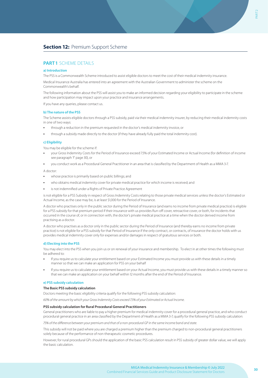# **PART 1 SCHEME DETAILS**

### **a) Introduction**

The PSS is a Commonwealth Scheme introduced to assist eligible doctors to meet the cost of their medical indemnity insurance.

Medical Insurance Australia has entered into an agreement with the Australian Government to administer the scheme on the Commonwealth's behalf.

The following information about the PSS will assist you to make an informed decision regarding your eligibility to participate in the scheme and how participation may impact upon your practice and insurance arrangements.

If you have any queries, please contact us.

### **b) The nature of the PSS**

The Scheme assists eligible doctors through a PSS subsidy, paid via their medical indemnity insurer, by reducing their medical indemnity costs in one of two ways:

- **•** through a reduction in the premium requested in the doctor's medical indemnity invoice, or
- **•** through a subsidy made directly to the doctor (if they have already fully paid the total indemnity cost).

### **c) Eligibility**

You may be eligible for the scheme if:

- **•** your Gross Indemnity Costs for the Period of Insurance exceed 7.5% of your Estimated Income or Actual Income (for definition of income see paragraph 'f' page 30), or
- **•** you conduct work as a Procedural General Practitioner in an area that is classified by the Department of Health as a MMA 3-7.

A doctor:

- **•** whose practice is primarily based on public billings; and
- **•** who obtains medical indemnity cover for private medical practice for which income is received; and
- **•** is not indemnified under a Rights of Private Practice Agreement

is not eligible for a PSS Subsidy in respect of Gross Indemnity Costs relating to those private medical services unless the doctor's Estimated or Actual Income, as the case may be, is at least \$1,000 for the Period of Insurance.

A doctor who practises only in the public sector during the Period of Insurance (and earns no income from private medical practice) is eligible for a PSS subsidy for that premium period if their insurance with us provides Run-off cover, retroactive cover, or both, for incidents that occurred in the course of, or in connection with, the doctor's private medical practice at a time when the doctor derived income from practising as a doctor.

A doctor who practises as a doctor only in the public sector during the Period of Insurance (and thereby earns no income from private practice) is not eligible for a PSS subsidy for that Period of Insurance if the only contract, or contracts, of insurance the doctor holds with us provides medical indemnity cover only for expenses and/or damages in respect of gratuitous services or both.

### **d) Electing into the PSS**

You may elect into the PSS when you join us or on renewal of your insurance and membership. To elect in at other times the following must be adhered to:

- **•** If you require us to calculate your entitlement based on your Estimated Income you must provide us with these details in a timely manner so that we can make an application for PSS on your behalf
- **•** If you require us to calculate your entitlement based on your Actual Income, you must provide us with these details in a timely manner so that we can make an application on your behalf within 12 months after the end of the Period of Insurance.

### **e) PSS subsidy calculation**

#### **The Basic PSS subsidy calculation**

Doctors meeting the basic eligibility criteria qualify for the following PSS subsidy calculation:

*60% of the amount by which your Gross Indemnity Costs exceed 7.5% of your Estimated or Actual Income.*

### **PSS subsidy calculation for Rural Procedural General Practitioners**

General practitioners who are liable to pay a higher premium for medical indemnity cover for a procedural general practice, and who conduct procedural general practice in an area classified by the Department of Health as a MMA 3-7, qualify for the following PSS subsidy calculation:

*75% of the difference between your premium and that of a non-procedural GP in the same income band and state.*

This subsidy will not be paid where you are charged a premium higher than the premium charged to non-procedural general practitioners solely because of the performance of non-therapeutic cosmetic procedures.

However, for rural procedural GPs should the application of the basic PSS calculation result in PSS subsidy of greater dollar value, we will apply the basic calculation.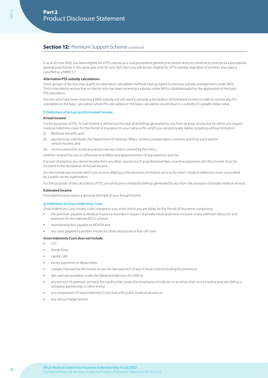# **Section 12:** Premium Support Scheme *(continued)*

If, as at 30 June 2020, you were eligible for a PSS subsidy as a rural procedural general practitioner and you continue to practise as a procedural general practitioner in the same area until 30 June 2021, then you will remain eligible for a PSS subsidy regardless of whether your area is classified as a MMA 3-7.

### **Alternative PSS subsidy calculations**

Some groups of doctors may qualify for alternative calculation methods having regard to previous subsidy arrangements under MISS. This is intended to ensure that no doctor who has been receiving a subsidy under MISS is disadvantaged by the application of the basic PSS calculation.

Doctors who have been receiving a MISS subsidy will still need to provide a declaration of Estimated Income in order to receive any PSS calculated on the basic calculation where PSS calculated on the basic calculation would result in a subsidy of a greater dollar value.

### **f) Definition of Actual and Estimated Income**

#### **Actual Income**

PART 2

For the purposes of PSS, Actual Income is defined as the total of all billings generated by you from all areas of practice for which you require medical indemnity cover for the Period of Insurance (in your name or for which you are personally liable), including without limitation:

- (i) Medicare benefits; and
- (ii) payments by individuals, the Department of Veterans Affairs, workers compensation schemes and third party and/or vehicle insurers; and

(iii) income earned for medical practice overseas that is covered by the Policy

whether retained by you or otherwise and before any apportionment of any expenses and tax.

If as part of practice, you derive income from any other sources (such as professional fees, incentive payments, etc) this income must be included in the declaration of Actual Income.

Do not include any income which you receive relating to the provision of medical services for which medical indemnity cover is provided by a public sector organisation.

For the purposes of the calculation of PSS, actual income is limited to billings generated by you from the provision of private medical services.

### **Estimated Income**

Estimated Income means a genuine estimate of your Actual Income.

### **g) Definition of Gross Indemnity Costs**

Gross Indemnity Costs means, costs charged to you, or for which you are liable, for the Period of Insurance, comprising:

- **•** the premium payable to Medical Insurance Australia in respect of private medical services inclusive of any premium discounts and premium for the national ROCS scheme
- **•** membership fees payable to MDASA and
- **•** any costs payable to another insurer for other retroactive or Run-off cover

### *Gross Indemnity Costs does not include:*

- **•** GST
- **•** Stamp Duty
- **•** capital calls
- **•** excess payments or deductibles
- **•** charges imposed by the insurer on you for late payment of any of these costs (including the premium)
- **•** late payment penalties under the Medical Indemnity Act 2002 or
- **•** any amount of premium primarily for a policy that covers the employees of a doctor or an entity that runs a medical practice (being a company, partnership or other entity)
- **•** any component of Gross Indemnity Costs that is for public medical services or
- **•** any risk surcharge.Section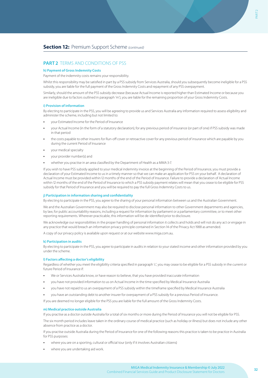# **PART 2** TERMS AND CONDITIONS OF PSS

### **h) Payment of Gross Indemnity Costs**

Payment of the indemnity costs remains your responsibility.

Whilst this responsibility may be satisfied in part by a PSS subsidy from Services Australia, should you subsequently become ineligible for a PSS subsidy, you are liable for the full payment of the Gross Indemnity Costs and repayment of any PSS overpayment.

Similarly, should the amount of the PSS subsidy decrease (because Actual Income is reported higher than Estimated Income or because you are ineligible due to factors outlined in paragraph 'm'), you are liable for the remaining proportion of your Gross Indemnity Costs.

### **i) Provision of information**

By electing to participate in the PSS, you will be agreeing to provide us and Services Australia any information required to assess eligibility and administer the scheme, including but not limited to:

- **•** your Estimated Income for the Period of Insurance
- **•** your Actual Income (in the form of a statutory declaration), for any previous period of insurance (or part of one) if PSS subsidy was made in that period
- **•** the costs payable to other insurers for Run-off cover or retroactive cover for any previous period of insurance which are payable by you during the current Period of Insurance
- **•** your medical specialty
- **•** your provider number(s) and
- **•** whether you practise in an area classified by the Department of Health as a MMA 3-7.

If you wish to have PSS subsidy applied to your medical indemnity invoice at the beginning of the Period of Insurance, you must provide a declaration of your Estimated Income to us in a timely manner so that we can make an application for PSS on your behalf. A declaration of Actual Income must be provided within 12 months of the end of the Period of Insurance. Failure to provide a declaration of Actual Income within 12 months of the end of the Period of Insurance to which a PSS subsidy payment relates will mean that you cease to be eligible for PSS subsidy for that Period of Insurance and you will be required to pay the full Gross Indemnity Costs to us.

### **j) Participation in information sharing and confidentiality**

By electing to participate in the PSS, you agree to the sharing of your personal information between us and the Australian Government.

We and the Australian Government may also be required to disclose personal information to other Government departments and agencies, by law, for public accountability reasons, including a request for information by parliament or a parliamentary committee, or to meet other reporting requirements. Wherever practicable, this information will be de-identified prior to disclosure.

We acknowledge our responsibilities in the proper handling of personal information it collects and holds and will not do any act or engage in any practice that would breach an information privacy principle contained in Section 14 of the Privacy Act 1988 as amended.

A copy of our privacy policy is available upon request or at our website www.miga.com.au.

#### **k) Participation in audits**

By electing to participate in the PSS, you agree to participate in audits in relation to your stated income and other information provided by you under the scheme.

### **l) Factors affecting a doctor's eligibility**

Regardless of whether you meet the eligibility criteria specified in paragraph 'c', you may cease to be eligible for a PSS subsidy in the current or future Period of Insurance if:

- **•** We or Services Australia know, or have reason to believe, that you have provided inaccurate information
- **•** you have not provided information to us on Actual Income in the time specified by Medical Insurance Australia
- **•** you have not repaid to us an overpayment of a PSS subsidy within the timeframe specified by Medical Insurance Australia
- **•** you have an outstanding debt to another insurer for overpayment of a PSS subsidy for a previous Period of Insurance.

If you are deemed no longer eligible for the PSS you are liable for the full amount of the Gross Indemnity Costs.

#### **m) Medical practice outside Australia**

If you practise as a doctor outside Australia for a total of six months or more during the Period of Insurance you will not be eligible for PSS.

The six month period includes leave taken in the ordinary course of medical practice (such as holiday or illness) but does not include any other absence from practice as a doctor.

If you practise outside Australia during the Period of Insurance for one of the following reasons this practice is taken to be practice in Australia for PSS purposes:

- **•** where you are on a sporting, cultural or official tour (only if it involves Australian citizens)
- **•** where you are undertaking aid work.

PART<sub>2</sub>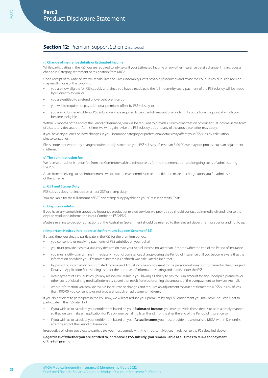# **Section 12:** Premium Support Scheme *(continued)*

### **n) Change of insurance details or Estimated Income**

While participating in the PSS you are required to advise us if your Estimated Income or any other insurance details change. This includes a change in Category, retirement or resignation from MIGA.

Upon receipt of this advice, we will recalculate the Gross Indemnity Costs payable (if required) and revise the PSS subsidy due. This revision may result in one of the following:

- **•** you are now eligible for PSS subsidy and, since you have already paid the full indemnity costs, payment of the PSS subsidy will be made by us directly to you, or
- **•** you are entitled to a refund of overpaid premium, or
- **•** you will be required to pay additional premium, offset by PSS subsidy, or
- **•** you are no longer eligible for PSS subsidy and are required to pay the full amount of all indemnity costs from the point at which you became ineligible

Within 12 months of the end of the Period of Insurance, you will be required to provide us with confirmation of your Actual Income in the form of a statutory declaration. At this time, we will again revise the PSS subsidy due and any of the above scenarios may apply.

If you have any queries on how changes in your insurance category or professional details may affect your PSS subsidy calculation, please contact us.

Please note that where any change requires an adjustment to your PSS subsidy of less than \$100.00, we may not process such an adjustment midterm.

### **o) The administration fee**

We receive an administration fee from the Commonwealth to reimburse us for the implementation and ongoing costs of administering the PSS.

Apart from receiving such reimbursement, we do not receive commission or benefits, and make no charge upon you for administration of the scheme.

### **p) GST and Stamp Duty**

PSS subsidy does not include or attract GST or stamp duty.

You are liable for the full amount of GST and stamp duty payable on your Gross Indemnity Costs.

#### **q) Dispute resolution**

If you have any complaints about the insurance product or related services we provide you should contact us immediately and refer to the dispute resolution information in our Combined FSG/PDS.

Matters relating to decisions or actions of the Australian Government should be referred to the relevant department or agency and not to us.

### **r) Important Notices in relation to the Premium Support Scheme (PSS)**

If at any time you elect to participate in the PSS for the premium period:

- **•** you consent to us receiving payments of PSS subsidies on your behalf
- **•** you must provide us with a statutory declaration as to your Actual Income no later than 12 months after the end of the Period of Insurance
- **•** you must notify us in writing immediately if your circumstances change during the Period of Insurance or if you become aware that the information on which your Estimated Income (as defined) was calculated is incorrect
- **•** by providing information on Estimated Income and Actual Income you consent to the personal information contained in the Change of Details or Application Forms being used for the purposes of information sharing and audits under the PSS
- **•** overpayment of a PSS subsidy (for any reason) will result in you having a liability to pay to us an amount for any underpaid premium (or other costs of obtaining medical indemnity cover) that result from us returning the amount of the overpayment to Services Australia
- **•** where information you provide to us is inaccurate or changes and requires an adjustment to your entitlement to a PSS subsidy of less than \$100.00, you consent to us not processing such an adjustment midterm.

If you do not elect to participate in the PSS now, we will not reduce your premium by any PSS entitlement you may have. You can elect to participate in the PSS later; but

- **•** if you wish us to calculate your entitlement based on your **Estimated Income**, you must provide those details to us in a timely manner so that we can make an application for PSS on your behalf no later than 2 months after the end of the Period of Insurance; or
- **•** if you wish us to calculate your entitlement based on your **Actual Income**, you must provide those details to MIGA within 12 months after the end of the Period of Insurance.

Irrespective of when you elect to participate, you must comply with the Important Notices in relation to the PSS detailed above.

### **Regardless of whether you are entitled to, or receive a PSS subsidy, you remain liable at all times to MIGA for payment of the full premium.**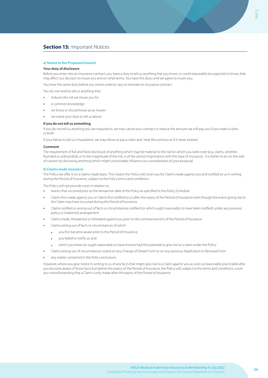### **a) Notice to the Proposed Insured**

### **Your duty of disclosure**

Before you enter into an insurance contract, you have a duty to tell us anything that you know, or could reasonably be expected to know, that may affect our decision to insure you and on what terms. You have this duty until we agree to insure you.

You have the same duty before you renew, extend, vary or reinstate an insurance contract.

You do not need to tell us anything that:

- **•** reduces the risk we insure you for
- **•** is common knowledge
- **•** we know or should know as an insurer
- **•** we waive your duty to tell us about.

### **If you do not tell us something**

If you do not tell us anything you are required to, we may cancel your contract or reduce the amount we will pay you if you make a claim, or both.

If your failure to tell us is fraudulent, we may refuse to pay a claim and treat the contract as if it never existed.

### **Comment**

The requirement of full and frank disclosure of anything which may be material to the risk for which you seek cover (e.g. claims, whether founded or unfounded), or to the magnitude of the risk, is of the utmost importance with this type of insurance. It is better to err on the side of caution by disclosing anything which might conceivably influence our consideration of your proposal.

#### **b) Claims made insurance**

The Policy we offer is on a claims made basis. This means the Policy will cover you for Claims made against you and notified to us in writing during the Period of Insurance, subject to the Policy terms and conditions.

The Policy will not provide cover in relation to:

- **•** events that occurred prior to the retroactive date of the Policy as specified in the Policy Schedule
- **•** Claims first made against you or Claims first notified to us after the expiry of the Period of Insurance even though the event giving rise to the Claim may have occurred during the Period of Insurance
- **•** Claims notified or arising out of facts or circumstances notified (or which ought reasonably to have been notified) under any previous policy or indemnity arrangement
- **•** Claims made, threatened or intimated against you prior to the commencement of the Period of Insurance
- **•** Claims arising out of facts or circumstances of which
	- **<sup>o</sup>** you first became aware prior to the Period of Insurance,
	- **<sup>o</sup>** you failed to notify us; and
	- **<sup>o</sup>** which you knew (or ought reasonably to have known) had the potential to give rise to a claim under the Policy
- **•** Claims arising out of circumstances noted on any Change of Details Form or on any previous Application or Renewal Form
- **•** any matter contained in the Policy exclusions.

However, where you give notice in writing to us of any facts that might give rise to a Claim against you as soon as reasonably practicable after you become aware of those facts but before the expiry of the Period of Insurance, the Policy will, subject to the terms and conditions, cover you notwithstanding that a Claim is only made after the expiry of the Period of Insurance.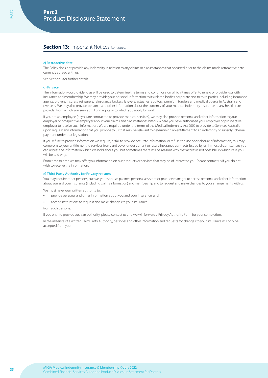## **Section 13:** Important Notices *(continued)*

### **c) Retroactive date**

The Policy does not provide any indemnity in relation to any claims or circumstances that occurred prior to the claims made retroactive date currently agreed with us.

See Section 3 for further details.

### **d) Privacy**

PART 2

The information you provide to us will be used to determine the terms and conditions on which it may offer to renew or provide you with insurance and membership. We may provide your personal information to its related bodies corporate and to third parties including insurance agents, brokers, insurers, reinsurers, reinsurance brokers, lawyers, actuaries, auditors, premium funders and medical boards in Australia and overseas. We may also provide personal and other information about the currency of your medical indemnity insurance to any health care provider from which you seek admitting rights or to which you apply for work.

If you are an employee (or you are contracted to provide medical services), we may also provide personal and other information to your employer or prospective employer about your claims and circumstances history where you have authorised your employer or prospective employer to receive such information. We are required under the terms of the Medical Indemnity Act 2002 to provide to Services Australia upon request any information that you provide to us that may be relevant to determining an entitlement to an indemnity or subsidy scheme payment under that legislation.

If you refuse to provide information we require, or fail to provide accurate information, or refuse the use or disclosure of information, this may compromise your entitlement to services from, and cover under current or future insurance contracts issued by us. In most circumstances you can access the information which we hold about you but sometimes there will be reasons why that access is not possible, in which case you will be told why.

From time to time we may offer you information on our products or services that may be of interest to you. Please contact us if you do not wish to receive the information.

### **e) Third Party Authority for Privacy reasons**

You may require other persons, such as your spouse, partner, personal assistant or practice manager to access personal and other information about you and your insurance (including claims information) and membership and to request and make changes to your arrangements with us.

We must have your written authority to:

- **•** provide personal and other information about you and your insurance; and
- **•** accept instructions to request and make changes to your insurance

### from such persons.

If you wish to provide such an authority, please contact us and we will forward a Privacy Authority Form for your completion.

In the absence of a written Third Party Authority, personal and other information and requests for changes to your insurance will only be accepted from you.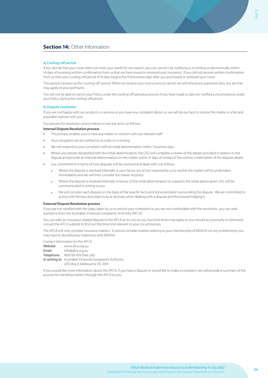# **Section 14: Other Information**

#### **a) Cooling-off period**

If you decide that your cover does not meet your needs for any reason, you can cancel it by notifying us in writing or electronically within 14 days of receiving written confirmation from us that we have issued or renewed your insurance. If you did not receive written confirmation from us then your cooling-off period of 14 days begins five full business days after you purchased or renewed your cover.

This period is known as the 'cooling-off' period. When we receive your instructions to cancel, we will refund any payments (less any tax that may apply to your premium).

You will not be able to cancel your Policy under the cooling-off period provisions if you have made a claim (or notified a circumstance) under your Policy during the cooling-off period.

### **b) Dispute resolution**

If you are not happy with our products or services or you have any complaint about us, we will do our best to resolve the matter in a fair and equitable manner with you.

Our process for resolution of any matters is two tier and is as follows:

### **Internal Dispute Resolution process**

- **•** This process enables you to raise any matter or concern with our relevant staff
- **•** Your complaint can be notified to us orally or in writing
- **•** We will respond to your complaint with an initial determination within 7 business days
- **•** Where you remain dissatisfied with the initial determination, the CEO will complete a review of the details provided in relation to the dispute and provide an internal determination on the matter within 21 days of receipt of the written confirmation of the dispute details
- **•** Our commitment in terms of how disputes will be resolved and dealt with is as follows:
	- **<sup>o</sup>** Where the dispute is resolved internally in your favour any action required by us to resolve the matter will be undertaken immediately and we will then consider the matter resolved
	- **<sup>o</sup>** Where the dispute is resolved internally in favour of the initial determination or supports the initial advice given, this will be communicated in writing to you
	- **<sup>o</sup>** We will consider each dispute on the basis of the specific facts and documentation surrounding the dispute. We are committed to acting with fairness and objectivity at all times when dealing with a dispute and the insured lodging it.

#### **External Dispute Resolution process**

If you are not satisfied with the steps taken by us to resolve your complaint or you are not comfortable with the resolution, you can seek assistance from the Australian Financial Complaints Authority (AFCA).

You can refer an insurance-related dispute to the AFCA at no cost to you, but time limits may apply so you should act promptly or otherwise consult the AFCA website to find out the time limit relevant to your circumstances.

The AFCA will only consider insurance matters. It cannot consider matters relating to your membership of MDASA nor any entitlements you may have to discretionary indemnity with MDASA.

Contact information for the AFCA:

| Website | www.afca.org.au                                         |
|---------|---------------------------------------------------------|
| Email   | info@afca.org.au                                        |
|         |                                                         |
|         | Telephone 1800 931 678 (free call)                      |
|         | In writing to Australian Financial Complaints Authority |
|         | GPO Box 3. Melbourne VIC 3001                           |

If you would like more information about the AFCA, if you have a dispute or would like to make a complaint, we will provide a summary of the process for handling matters through the AFCA to you.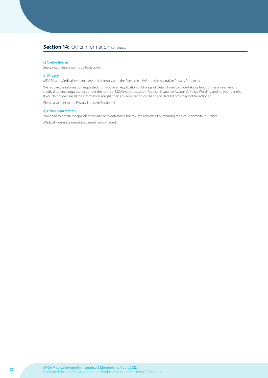# **Section 14:** Other Information *(continued)*

### **c) Contacting us**

See contact details on inside front cover.

### **d) Privacy**

MDASA and Medical Insurance Australia comply with the *Privacy Act 1988* and the Australian Privacy Principles.

We require the information requested from you in an Application or Change of Details Form to undertake its functions as an insurer and medical defence organisation, under the terms of MDASA's Constitution, Medical Insurance Australia's Policy Wording and for your benefit. If you do not declare all the information sought, then any Application or Change of Details Form may not be actioned.

Please also refer to the Privacy Notice in Section 13.

### **e) Other information**

You need to obtain independent tax advice to determine the tax implications of purchasing medical indemnity insurance.

Medical indemnity insurance cannot be on-traded.